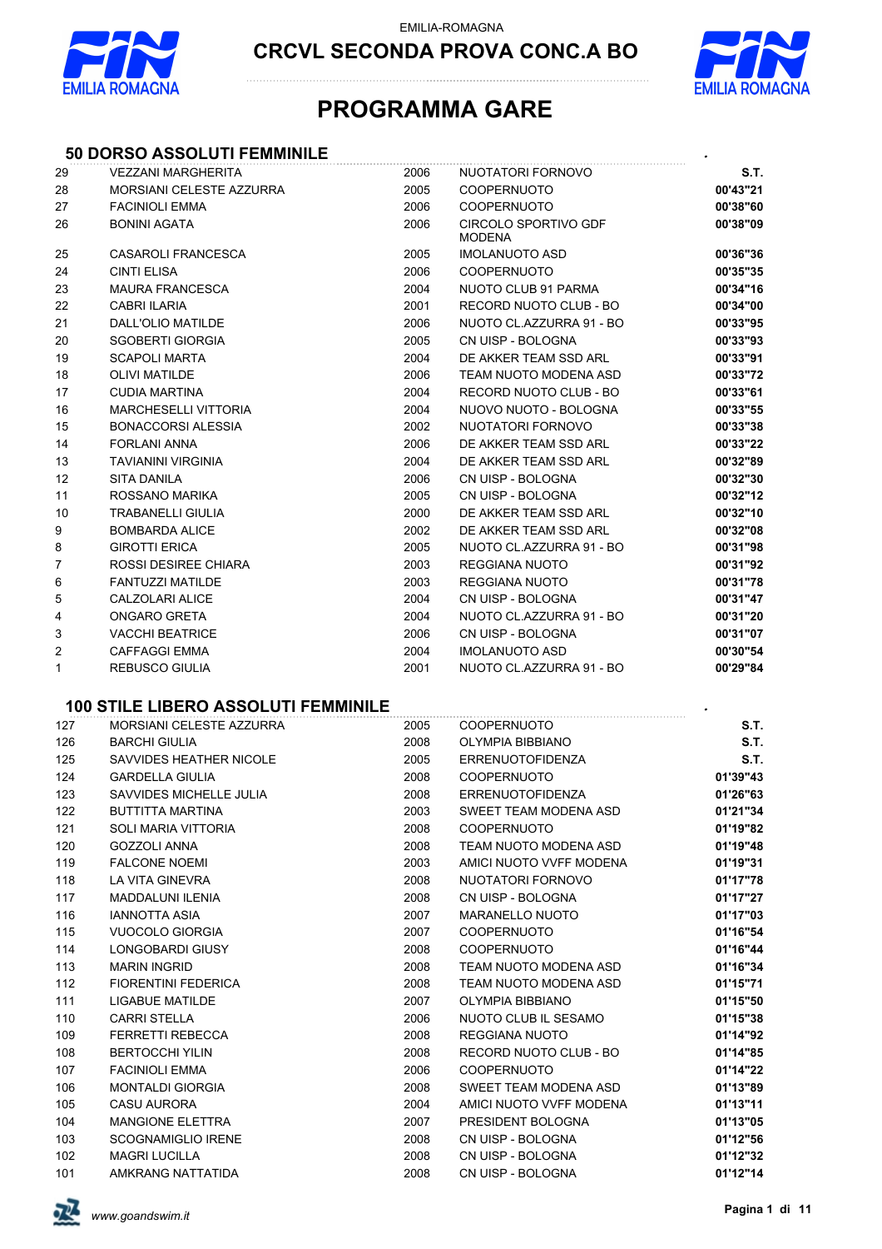



## **PROGRAMMA GARE**

### **50 DORSO ASSOLUTI FEMMINILE** *.*

| 29 | <b>VEZZANI MARGHERITA</b>   | 2006 | NUOTATORI FORNOVO                     | S.T.     |
|----|-----------------------------|------|---------------------------------------|----------|
| 28 | MORSIANI CELESTE AZZURRA    | 2005 | <b>COOPERNUOTO</b>                    | 00'43"21 |
| 27 | <b>FACINIOLI EMMA</b>       | 2006 | <b>COOPERNUOTO</b>                    | 00'38"60 |
| 26 | <b>BONINI AGATA</b>         | 2006 | CIRCOLO SPORTIVO GDF<br><b>MODENA</b> | 00'38"09 |
| 25 | <b>CASAROLI FRANCESCA</b>   | 2005 | <b>IMOLANUOTO ASD</b>                 | 00'36"36 |
| 24 | <b>CINTI ELISA</b>          | 2006 | <b>COOPERNUOTO</b>                    | 00'35"35 |
| 23 | <b>MAURA FRANCESCA</b>      | 2004 | NUOTO CLUB 91 PARMA                   | 00'34"16 |
| 22 | <b>CABRI ILARIA</b>         | 2001 | RECORD NUOTO CLUB - BO                | 00'34"00 |
| 21 | DALL'OLIO MATILDE           | 2006 | NUOTO CL.AZZURRA 91 - BO              | 00'33"95 |
| 20 | <b>SGOBERTI GIORGIA</b>     | 2005 | CN UISP - BOLOGNA                     | 00'33"93 |
| 19 | <b>SCAPOLI MARTA</b>        | 2004 | DE AKKER TEAM SSD ARL                 | 00'33"91 |
| 18 | <b>OLIVI MATILDE</b>        | 2006 | TEAM NUOTO MODENA ASD                 | 00'33"72 |
| 17 | <b>CUDIA MARTINA</b>        | 2004 | RECORD NUOTO CLUB - BO                | 00'33"61 |
| 16 | <b>MARCHESELLI VITTORIA</b> | 2004 | NUOVO NUOTO - BOLOGNA                 | 00'33"55 |
| 15 | <b>BONACCORSI ALESSIA</b>   | 2002 | NUOTATORI FORNOVO                     | 00'33"38 |
| 14 | <b>FORLANI ANNA</b>         | 2006 | DE AKKER TEAM SSD ARL                 | 00'33"22 |
| 13 | <b>TAVIANINI VIRGINIA</b>   | 2004 | DE AKKER TEAM SSD ARL                 | 00'32"89 |
| 12 | <b>SITA DANILA</b>          | 2006 | CN UISP - BOLOGNA                     | 00'32"30 |
| 11 | ROSSANO MARIKA              | 2005 | CN UISP - BOLOGNA                     | 00'32"12 |
| 10 | <b>TRABANELLI GIULIA</b>    | 2000 | DE AKKER TEAM SSD ARL                 | 00'32"10 |
| 9  | <b>BOMBARDA ALICE</b>       | 2002 | DE AKKER TEAM SSD ARL                 | 00'32"08 |
| 8  | <b>GIROTTI ERICA</b>        | 2005 | NUOTO CL.AZZURRA 91 - BO              | 00'31"98 |
| 7  | ROSSI DESIREE CHIARA        | 2003 | <b>REGGIANA NUOTO</b>                 | 00'31"92 |
| 6  | <b>FANTUZZI MATILDE</b>     | 2003 | <b>REGGIANA NUOTO</b>                 | 00'31"78 |
| 5  | <b>CALZOLARI ALICE</b>      | 2004 | CN UISP - BOLOGNA                     | 00'31"47 |
| 4  | <b>ONGARO GRETA</b>         | 2004 | NUOTO CL.AZZURRA 91 - BO              | 00'31"20 |
| 3  | <b>VACCHI BEATRICE</b>      | 2006 | CN UISP - BOLOGNA                     | 00'31"07 |
| 2  | <b>CAFFAGGI EMMA</b>        | 2004 | <b>IMOLANUOTO ASD</b>                 | 00'30"54 |
| 1  | <b>REBUSCO GIULIA</b>       | 2001 | NUOTO CL.AZZURRA 91 - BO              | 00'29"84 |

### **100 STILE LIBERO ASSOLUTI FEMMINILE** *.*

| 127 | MORSIANI CELESTE AZZURRA   | 2005 | <b>COOPERNUOTO</b>      | S.T.     |
|-----|----------------------------|------|-------------------------|----------|
| 126 | <b>BARCHI GIULIA</b>       | 2008 | <b>OLYMPIA BIBBIANO</b> | S.T.     |
| 125 | SAVVIDES HEATHER NICOLE    | 2005 | ERRENUOTOFIDENZA        | S.T.     |
| 124 | <b>GARDELLA GIULIA</b>     | 2008 | <b>COOPERNUOTO</b>      | 01'39"43 |
| 123 | SAVVIDES MICHELLE JULIA    | 2008 | <b>ERRENUOTOFIDENZA</b> | 01'26"63 |
| 122 | BUTTITTA MARTINA           | 2003 | SWEET TEAM MODENA ASD   | 01'21"34 |
| 121 | <b>SOLI MARIA VITTORIA</b> | 2008 | <b>COOPERNUOTO</b>      | 01'19"82 |
| 120 | GOZZOLI ANNA               | 2008 | TEAM NUOTO MODENA ASD   | 01'19"48 |
| 119 | <b>FALCONE NOEMI</b>       | 2003 | AMICI NUOTO VVFF MODENA | 01'19"31 |
| 118 | LA VITA GINEVRA            | 2008 | NUOTATORI FORNOVO       | 01'17"78 |
| 117 | MADDALUNI ILENIA           | 2008 | CN UISP - BOLOGNA       | 01'17"27 |
| 116 | <b>IANNOTTA ASIA</b>       | 2007 | <b>MARANELLO NUOTO</b>  | 01'17"03 |
| 115 | VUOCOLO GIORGIA            | 2007 | <b>COOPERNUOTO</b>      | 01'16"54 |
| 114 | LONGOBARDI GIUSY           | 2008 | COOPERNUOTO             | 01'16"44 |
| 113 | <b>MARIN INGRID</b>        | 2008 | TEAM NUOTO MODENA ASD   | 01'16"34 |
| 112 | <b>FIORENTINI FEDERICA</b> | 2008 | TEAM NUOTO MODENA ASD   | 01'15"71 |
| 111 | <b>LIGABUE MATILDE</b>     | 2007 | <b>OLYMPIA BIBBIANO</b> | 01'15"50 |
| 110 | <b>CARRI STELLA</b>        | 2006 | NUOTO CLUB IL SESAMO    | 01'15"38 |
| 109 | <b>FERRETTI REBECCA</b>    | 2008 | REGGIANA NUOTO          | 01'14"92 |
| 108 | <b>BERTOCCHI YILIN</b>     | 2008 | RECORD NUOTO CLUB - BO  | 01'14"85 |
| 107 | <b>FACINIOLI EMMA</b>      | 2006 | <b>COOPERNUOTO</b>      | 01'14"22 |
| 106 | <b>MONTALDI GIORGIA</b>    | 2008 | SWEET TEAM MODENA ASD   | 01'13"89 |
| 105 | <b>CASU AURORA</b>         | 2004 | AMICI NUOTO VVFF MODENA | 01'13"11 |
| 104 | <b>MANGIONE ELETTRA</b>    | 2007 | PRESIDENT BOLOGNA       | 01'13"05 |
| 103 | <b>SCOGNAMIGLIO IRENE</b>  | 2008 | CN UISP - BOLOGNA       | 01'12"56 |
| 102 | <b>MAGRI LUCILLA</b>       | 2008 | CN UISP - BOLOGNA       | 01'12"32 |
| 101 | AMKRANG NATTATIDA          | 2008 | CN UISP - BOLOGNA       | 01'12"14 |

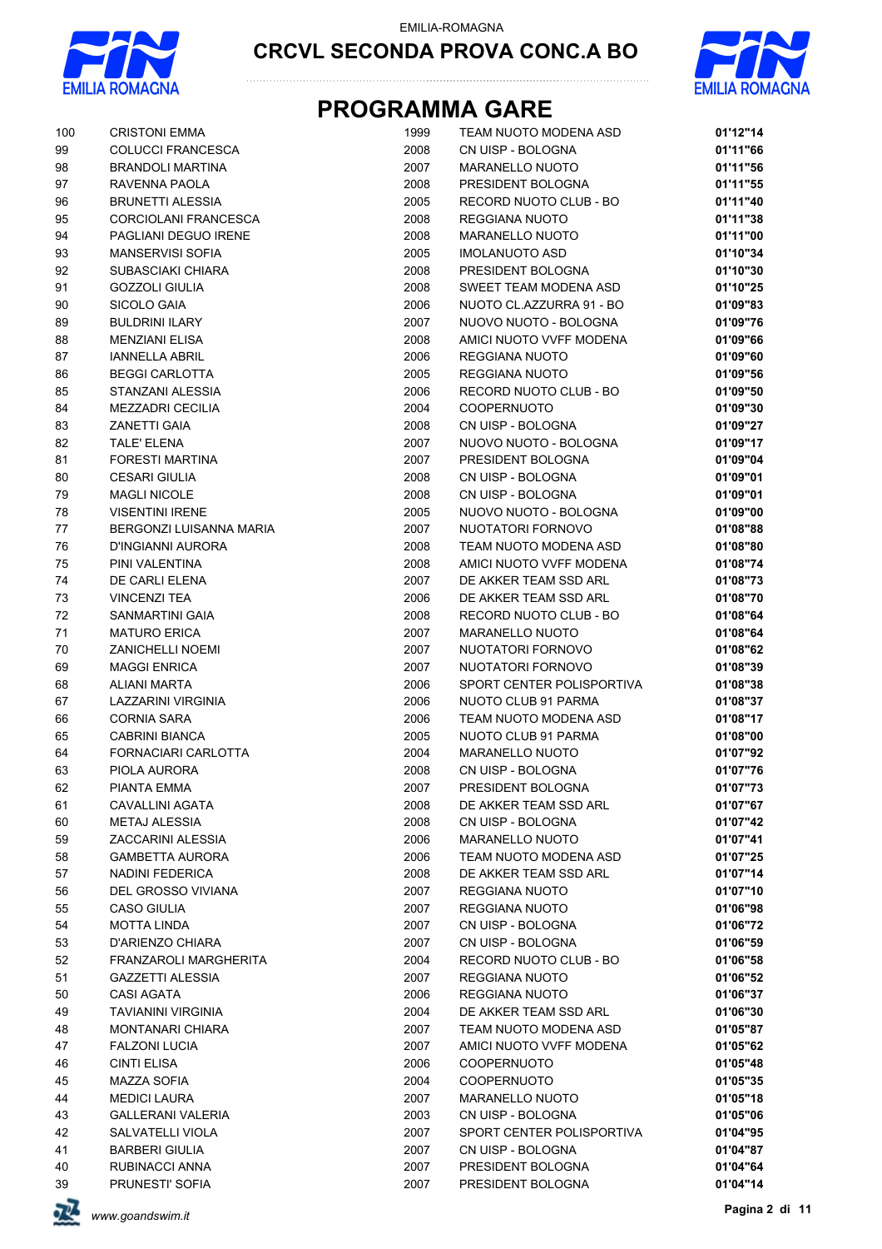



| 100    | <b>CRISTONI EMMA</b>      | 1999 | TEAM NUOTO MODENA ASD     | 01'12"14 |
|--------|---------------------------|------|---------------------------|----------|
| 99     | <b>COLUCCI FRANCESCA</b>  | 2008 | CN UISP - BOLOGNA         | 01'11"66 |
| 98     | <b>BRANDOLI MARTINA</b>   | 2007 | <b>MARANELLO NUOTO</b>    | 01'11"56 |
| 97     | RAVENNA PAOLA             | 2008 | PRESIDENT BOLOGNA         | 01'11"55 |
| 96     | <b>BRUNETTI ALESSIA</b>   | 2005 | RECORD NUOTO CLUB - BO    | 01'11"40 |
| 95     | CORCIOLANI FRANCESCA      | 2008 | REGGIANA NUOTO            | 01'11"38 |
| 94     | PAGLIANI DEGUO IRENE      | 2008 | MARANELLO NUOTO           | 01'11"00 |
| 93     | <b>MANSERVISI SOFIA</b>   | 2005 | <b>IMOLANUOTO ASD</b>     | 01'10"34 |
| 92     | SUBASCIAKI CHIARA         | 2008 | PRESIDENT BOLOGNA         | 01'10"30 |
| 91     | <b>GOZZOLI GIULIA</b>     | 2008 | SWEET TEAM MODENA ASD     | 01'10"25 |
| 90     | <b>SICOLO GAIA</b>        | 2006 | NUOTO CL.AZZURRA 91 - BO  | 01'09"83 |
| 89     | <b>BULDRINI ILARY</b>     | 2007 | NUOVO NUOTO - BOLOGNA     | 01'09"76 |
| 88     | <b>MENZIANI ELISA</b>     | 2008 | AMICI NUOTO VVFF MODENA   | 01'09"66 |
| 87     | <b>IANNELLA ABRIL</b>     | 2006 | REGGIANA NUOTO            | 01'09"60 |
| 86     | <b>BEGGI CARLOTTA</b>     | 2005 | REGGIANA NUOTO            | 01'09"56 |
| 85     | STANZANI ALESSIA          | 2006 | RECORD NUOTO CLUB - BO    | 01'09"50 |
| 84     | <b>MEZZADRI CECILIA</b>   | 2004 | <b>COOPERNUOTO</b>        | 01'09"30 |
| 83     | <b>ZANETTI GAIA</b>       | 2008 | CN UISP - BOLOGNA         | 01'09"27 |
| 82     | <b>TALE' ELENA</b>        | 2007 | NUOVO NUOTO - BOLOGNA     | 01'09"17 |
| 81     | <b>FORESTI MARTINA</b>    | 2007 | PRESIDENT BOLOGNA         | 01'09"04 |
| 80     | <b>CESARI GIULIA</b>      | 2008 | CN UISP - BOLOGNA         | 01'09"01 |
| 79     | <b>MAGLI NICOLE</b>       | 2008 | CN UISP - BOLOGNA         | 01'09"01 |
| 78     | <b>VISENTINI IRENE</b>    | 2005 | NUOVO NUOTO - BOLOGNA     | 01'09"00 |
| 77     | BERGONZI LUISANNA MARIA   | 2007 | NUOTATORI FORNOVO         | 01'08"88 |
| 76     | D'INGIANNI AURORA         | 2008 | TEAM NUOTO MODENA ASD     | 01'08"80 |
| 75     | PINI VALENTINA            | 2008 | AMICI NUOTO VVFF MODENA   | 01'08"74 |
| 74     | DE CARLI ELENA            | 2007 | DE AKKER TEAM SSD ARL     | 01'08"73 |
| $73\,$ | <b>VINCENZI TEA</b>       | 2006 | DE AKKER TEAM SSD ARL     | 01'08"70 |
| 72     | SANMARTINI GAIA           | 2008 | RECORD NUOTO CLUB - BO    | 01'08"64 |
| $71$   | <b>MATURO ERICA</b>       | 2007 | <b>MARANELLO NUOTO</b>    | 01'08"64 |
| $70\,$ | <b>ZANICHELLI NOEMI</b>   | 2007 | NUOTATORI FORNOVO         | 01'08"62 |
| 69     | <b>MAGGI ENRICA</b>       | 2007 | NUOTATORI FORNOVO         | 01'08"39 |
| 68     | ALIANI MARTA              | 2006 | SPORT CENTER POLISPORTIVA | 01'08"38 |
| 67     | LAZZARINI VIRGINIA        | 2006 | NUOTO CLUB 91 PARMA       | 01'08"37 |
| 66     | <b>CORNIA SARA</b>        | 2006 | TEAM NUOTO MODENA ASD     | 01'08"17 |
| 65     | <b>CABRINI BIANCA</b>     | 2005 | NUOTO CLUB 91 PARMA       | 01'08"00 |
| 64     | FORNACIARI CARLOTTA       | 2004 | <b>MARANELLO NUOTO</b>    | 01'07"92 |
| 63     | PIOLA AURORA              | 2008 | CN UISP - BOLOGNA         | 01'07"76 |
| 62     | PIANTA EMMA               | 2007 | PRESIDENT BOLOGNA         | 01'07"73 |
| 61     | CAVALLINI AGATA           | 2008 | DE AKKER TEAM SSD ARL     | 01'07"67 |
| 60     | <b>METAJ ALESSIA</b>      | 2008 | CN UISP - BOLOGNA         | 01'07"42 |
| 59     | ZACCARINI ALESSIA         | 2006 | <b>MARANELLO NUOTO</b>    | 01'07"41 |
| 58     | <b>GAMBETTA AURORA</b>    | 2006 | TEAM NUOTO MODENA ASD     | 01'07"25 |
| 57     | <b>NADINI FEDERICA</b>    | 2008 | DE AKKER TEAM SSD ARL     | 01'07"14 |
| 56     | <b>DEL GROSSO VIVIANA</b> | 2007 | <b>REGGIANA NUOTO</b>     | 01'07"10 |
| 55     | <b>CASO GIULIA</b>        | 2007 | REGGIANA NUOTO            | 01'06"98 |
| 54     | <b>MOTTA LINDA</b>        | 2007 | CN UISP - BOLOGNA         | 01'06"72 |
| 53     | D'ARIENZO CHIARA          | 2007 | CN UISP - BOLOGNA         | 01'06"59 |
| 52     | FRANZAROLI MARGHERITA     | 2004 | RECORD NUOTO CLUB - BO    | 01'06"58 |
| 51     | <b>GAZZETTI ALESSIA</b>   | 2007 | REGGIANA NUOTO            | 01'06"52 |
| 50     | CASI AGATA                | 2006 | REGGIANA NUOTO            | 01'06"37 |
| 49     | <b>TAVIANINI VIRGINIA</b> | 2004 | DE AKKER TEAM SSD ARL     | 01'06"30 |
| 48     | <b>MONTANARI CHIARA</b>   | 2007 | TEAM NUOTO MODENA ASD     | 01'05"87 |
| 47     | <b>FALZONI LUCIA</b>      | 2007 | AMICI NUOTO VVFF MODENA   | 01'05"62 |
| 46     | <b>CINTI ELISA</b>        | 2006 | <b>COOPERNUOTO</b>        | 01'05"48 |
| 45     | MAZZA SOFIA               | 2004 | <b>COOPERNUOTO</b>        | 01'05"35 |
| 44     | <b>MEDICI LAURA</b>       | 2007 | MARANELLO NUOTO           | 01'05"18 |
| 43     | <b>GALLERANI VALERIA</b>  | 2003 | CN UISP - BOLOGNA         | 01'05"06 |
| 42     | SALVATELLI VIOLA          | 2007 | SPORT CENTER POLISPORTIVA | 01'04"95 |
| 41     | <b>BARBERI GIULIA</b>     | 2007 | CN UISP - BOLOGNA         | 01'04"87 |
| 40     | RUBINACCI ANNA            | 2007 | PRESIDENT BOLOGNA         | 01'04"64 |
| 39     | PRUNESTI' SOFIA           | 2007 | PRESIDENT BOLOGNA         | 01'04"14 |

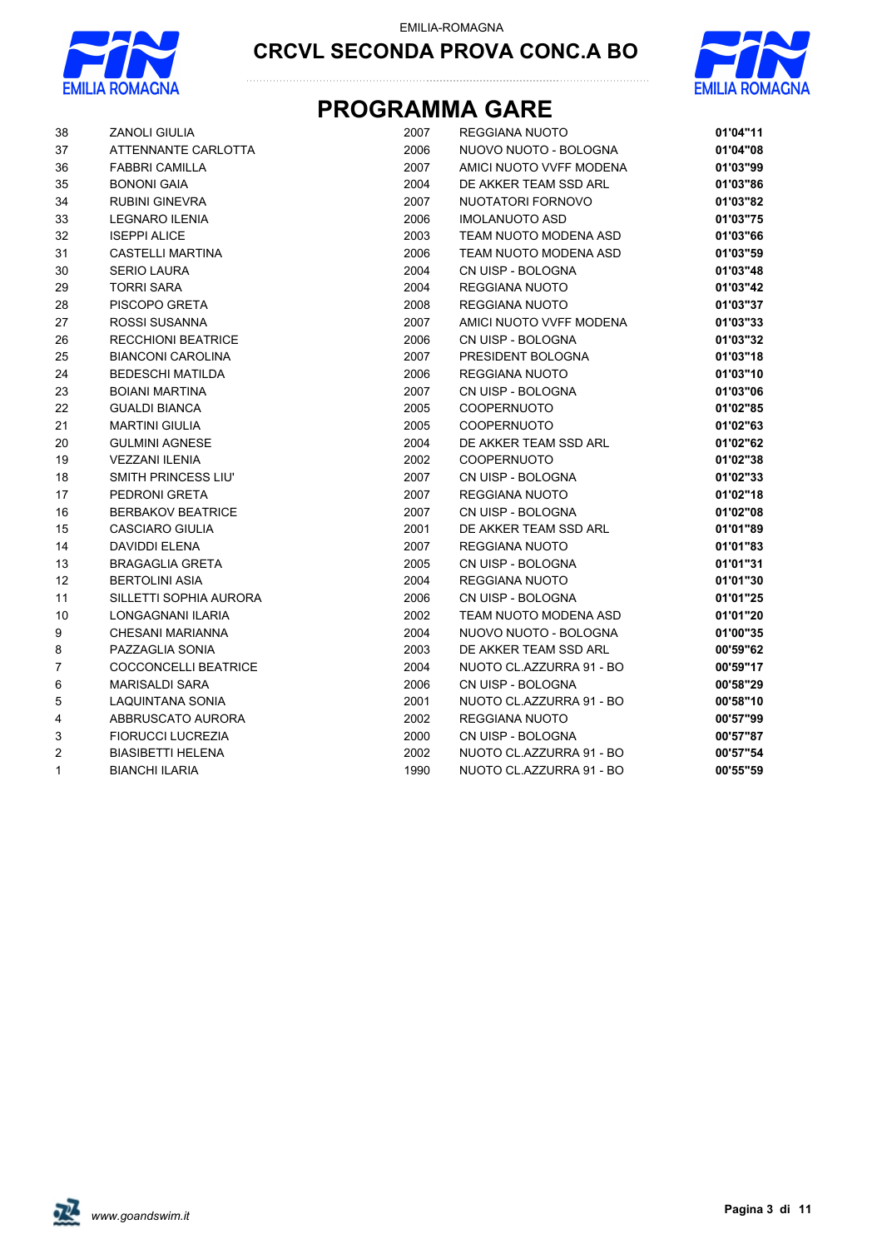



| 38               | <b>ZANOLI GIULIA</b>        | 2007 | <b>REGGIANA NUOTO</b>    | 01'04"11 |
|------------------|-----------------------------|------|--------------------------|----------|
| 37               | ATTENNANTE CARLOTTA         | 2006 | NUOVO NUOTO - BOLOGNA    | 01'04"08 |
| 36               | <b>FABBRI CAMILLA</b>       | 2007 | AMICI NUOTO VVFF MODENA  | 01'03"99 |
| 35               | <b>BONONI GAIA</b>          | 2004 | DE AKKER TEAM SSD ARL    | 01'03"86 |
| 34               | <b>RUBINI GINEVRA</b>       | 2007 | NUOTATORI FORNOVO        | 01'03"82 |
| 33               | LEGNARO ILENIA              | 2006 | <b>IMOLANUOTO ASD</b>    | 01'03"75 |
| 32               | <b>ISEPPI ALICE</b>         | 2003 | TEAM NUOTO MODENA ASD    | 01'03"66 |
| 31               | CASTELLI MARTINA            | 2006 | TEAM NUOTO MODENA ASD    | 01'03"59 |
| 30               | <b>SERIO LAURA</b>          | 2004 | CN UISP - BOLOGNA        | 01'03"48 |
| 29               | <b>TORRI SARA</b>           | 2004 | REGGIANA NUOTO           | 01'03"42 |
| 28               | PISCOPO GRETA               | 2008 | REGGIANA NUOTO           | 01'03"37 |
| 27               | ROSSI SUSANNA               | 2007 | AMICI NUOTO VVFF MODENA  | 01'03"33 |
| 26               | <b>RECCHIONI BEATRICE</b>   | 2006 | CN UISP - BOLOGNA        | 01'03"32 |
| 25               | <b>BIANCONI CAROLINA</b>    | 2007 | PRESIDENT BOLOGNA        | 01'03"18 |
| 24               | <b>BEDESCHI MATILDA</b>     | 2006 | <b>REGGIANA NUOTO</b>    | 01'03"10 |
| 23               | <b>BOIANI MARTINA</b>       | 2007 | CN UISP - BOLOGNA        | 01'03"06 |
| 22               | <b>GUALDI BIANCA</b>        | 2005 | COOPERNUOTO              | 01'02"85 |
| 21               | <b>MARTINI GIULIA</b>       | 2005 | <b>COOPERNUOTO</b>       | 01'02"63 |
| 20               | <b>GULMINI AGNESE</b>       | 2004 | DE AKKER TEAM SSD ARL    | 01'02"62 |
| 19               | <b>VEZZANI ILENIA</b>       | 2002 | COOPERNUOTO              | 01'02"38 |
| 18               | SMITH PRINCESS LIU'         | 2007 | CN UISP - BOLOGNA        | 01'02"33 |
| 17               | PEDRONI GRETA               | 2007 | REGGIANA NUOTO           | 01'02"18 |
| 16               | <b>BERBAKOV BEATRICE</b>    | 2007 | CN UISP - BOLOGNA        | 01'02"08 |
| 15               | <b>CASCIARO GIULIA</b>      | 2001 | DE AKKER TEAM SSD ARL    | 01'01"89 |
| 14               | DAVIDDI ELENA               | 2007 | REGGIANA NUOTO           | 01'01"83 |
| 13               | <b>BRAGAGLIA GRETA</b>      | 2005 | CN UISP - BOLOGNA        | 01'01"31 |
| 12               | <b>BERTOLINI ASIA</b>       | 2004 | REGGIANA NUOTO           | 01'01"30 |
| 11               | SILLETTI SOPHIA AURORA      | 2006 | CN UISP - BOLOGNA        | 01'01"25 |
| 10               | LONGAGNANI ILARIA           | 2002 | TEAM NUOTO MODENA ASD    | 01'01"20 |
| 9                | CHESANI MARIANNA            | 2004 | NUOVO NUOTO - BOLOGNA    | 01'00"35 |
| 8                | PAZZAGLIA SONIA             | 2003 | DE AKKER TEAM SSD ARL    | 00'59"62 |
| $\boldsymbol{7}$ | <b>COCCONCELLI BEATRICE</b> | 2004 | NUOTO CL.AZZURRA 91 - BO | 00'59"17 |
| 6                | <b>MARISALDI SARA</b>       | 2006 | CN UISP - BOLOGNA        | 00'58"29 |
| $\mathbf 5$      | LAQUINTANA SONIA            | 2001 | NUOTO CL.AZZURRA 91 - BO | 00'58"10 |
| 4                | ABBRUSCATO AURORA           | 2002 | REGGIANA NUOTO           | 00'57"99 |
| 3                | <b>FIORUCCI LUCREZIA</b>    | 2000 | CN UISP - BOLOGNA        | 00'57"87 |
| 2                | <b>BIASIBETTI HELENA</b>    | 2002 | NUOTO CL.AZZURRA 91 - BO | 00'57"54 |
| 1                | <b>BIANCHI ILARIA</b>       | 1990 | NUOTO CL.AZZURRA 91 - BO | 00'55"59 |

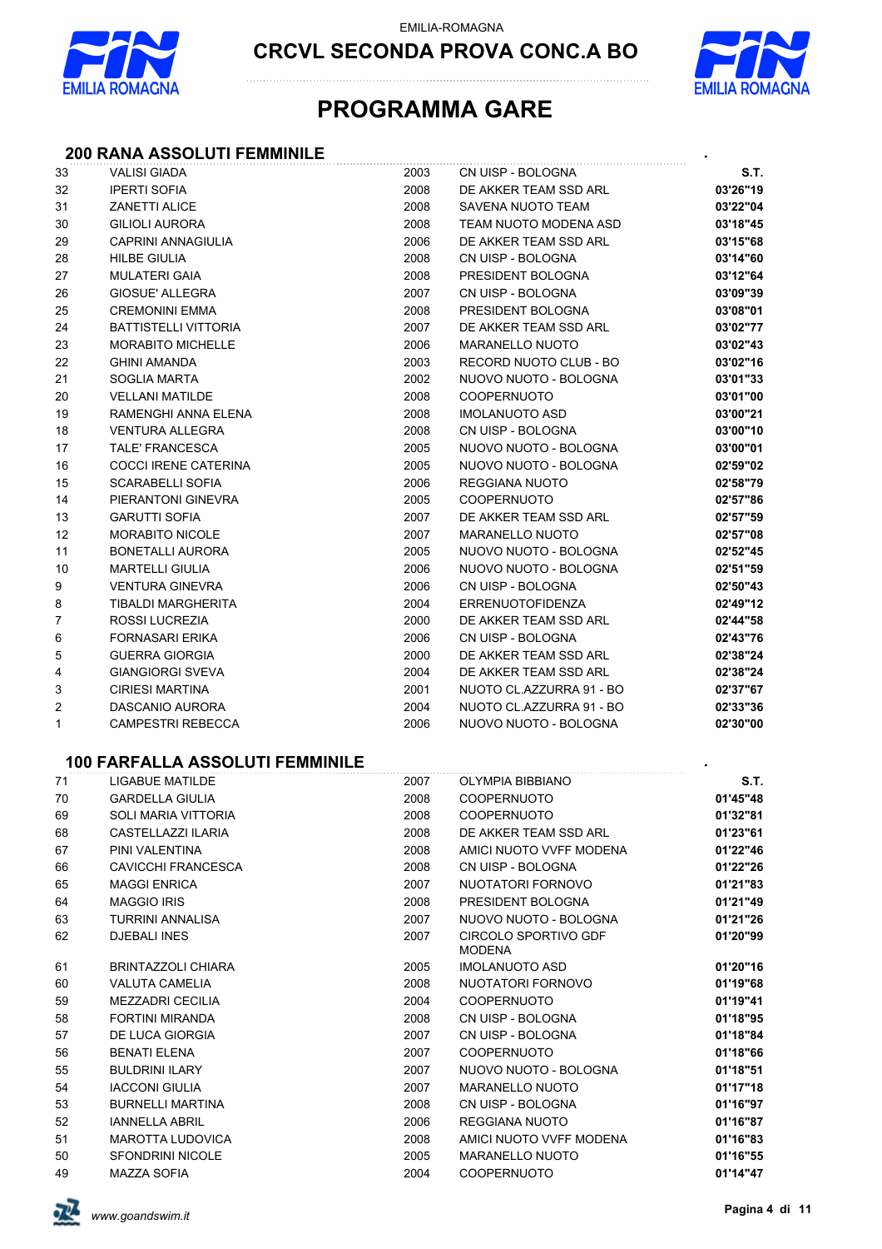

EMILIA-ROMAGNA

**CRCVL SECONDA PROVA CONC.A BO**



## **PROGRAMMA GARE**

### **200 RANA ASSOLUTI FEMMINILE** *.*

| 33 | <b>VALISI GIADA</b>                    | 2003 | CN UISP - BOLOGNA        | S.T.     |
|----|----------------------------------------|------|--------------------------|----------|
| 32 | <b>IPERTI SOFIA</b>                    | 2008 | DE AKKER TEAM SSD ARL    | 03'26"19 |
| 31 | <b>ZANETTI ALICE</b>                   | 2008 | SAVENA NUOTO TEAM        | 03'22"04 |
| 30 | <b>GILIOLI AURORA</b>                  | 2008 | TEAM NUOTO MODENA ASD    | 03'18"45 |
| 29 | <b>CAPRINI ANNAGIULIA</b>              | 2006 | DE AKKER TEAM SSD ARL    | 03'15"68 |
| 28 | <b>HILBE GIULIA</b>                    | 2008 | CN UISP - BOLOGNA        | 03'14"60 |
| 27 | <b>MULATERI GAIA</b>                   | 2008 | PRESIDENT BOLOGNA        | 03'12"64 |
| 26 | <b>GIOSUE' ALLEGRA</b>                 | 2007 | CN UISP - BOLOGNA        | 03'09"39 |
| 25 | <b>CREMONINI EMMA</b>                  | 2008 | PRESIDENT BOLOGNA        | 03'08"01 |
| 24 | <b>BATTISTELLI VITTORIA</b>            | 2007 | DE AKKER TEAM SSD ARL    | 03'02"77 |
| 23 | <b>MORABITO MICHELLE</b>               | 2006 | <b>MARANELLO NUOTO</b>   | 03'02"43 |
| 22 | <b>GHINI AMANDA</b>                    | 2003 | RECORD NUOTO CLUB - BO   | 03'02"16 |
| 21 | <b>SOGLIA MARTA</b>                    | 2002 | NUOVO NUOTO - BOLOGNA    | 03'01"33 |
| 20 | <b>VELLANI MATILDE</b>                 | 2008 | <b>COOPERNUOTO</b>       | 03'01"00 |
| 19 | RAMENGHI ANNA ELENA                    | 2008 | <b>IMOLANUOTO ASD</b>    | 03'00"21 |
| 18 | <b>VENTURA ALLEGRA</b>                 | 2008 | CN UISP - BOLOGNA        | 03'00"10 |
| 17 | <b>TALE' FRANCESCA</b>                 | 2005 | NUOVO NUOTO - BOLOGNA    | 03'00"01 |
| 16 | <b>COCCI IRENE CATERINA</b>            | 2005 | NUOVO NUOTO - BOLOGNA    | 02'59"02 |
| 15 | SCARABELLI SOFIA                       | 2006 | REGGIANA NUOTO           | 02'58"79 |
| 14 | PIERANTONI GINEVRA                     | 2005 | COOPERNUOTO              | 02'57"86 |
| 13 | <b>GARUTTI SOFIA</b>                   | 2007 | DE AKKER TEAM SSD ARL    | 02'57"59 |
| 12 | <b>MORABITO NICOLE</b>                 | 2007 | <b>MARANELLO NUOTO</b>   | 02'57"08 |
| 11 | <b>BONETALLI AURORA</b>                | 2005 | NUOVO NUOTO - BOLOGNA    | 02'52"45 |
| 10 | <b>MARTELLI GIULIA</b>                 | 2006 | NUOVO NUOTO - BOLOGNA    | 02'51"59 |
| 9  | <b>VENTURA GINEVRA</b>                 | 2006 | CN UISP - BOLOGNA        | 02'50"43 |
| 8  | <b>TIBALDI MARGHERITA</b>              | 2004 | <b>ERRENUOTOFIDENZA</b>  | 02'49"12 |
| 7  | ROSSI LUCREZIA                         | 2000 | DE AKKER TEAM SSD ARL    | 02'44"58 |
| 6  | <b>FORNASARI ERIKA</b>                 | 2006 | CN UISP - BOLOGNA        | 02'43"76 |
| 5  | <b>GUERRA GIORGIA</b>                  | 2000 | DE AKKER TEAM SSD ARL    | 02'38"24 |
| 4  | <b>GIANGIORGI SVEVA</b>                | 2004 | DE AKKER TEAM SSD ARL    | 02'38"24 |
| 3  | <b>CIRIESI MARTINA</b>                 | 2001 | NUOTO CL.AZZURRA 91 - BO | 02'37"67 |
| 2  | DASCANIO AURORA                        | 2004 | NUOTO CL.AZZURRA 91 - BO | 02'33"36 |
| 1  | <b>CAMPESTRI REBECCA</b>               | 2006 | NUOVO NUOTO - BOLOGNA    | 02'30"00 |
|    | <b>100 FARFALLA ASSOLUTI FEMMINILE</b> |      |                          |          |
| 71 | <b>LIGABUE MATILDE</b>                 | 2007 | <b>OLYMPIA BIBBIANO</b>  | S.T.     |
| 70 | <b>GARDELLA GIULIA</b>                 | 2008 | <b>COOPERNUOTO</b>       | 01'45"48 |
| 69 | <b>SOLI MARIA VITTORIA</b>             | 2008 | <b>COOPERNUOTO</b>       | 01'32"81 |
|    |                                        |      |                          |          |

| 69 | SOLI MARIA VITTORIA       | 2008 | <b>COOPERNUOTO</b>             | 01'32"81 |
|----|---------------------------|------|--------------------------------|----------|
| 68 | CASTELLAZZI ILARIA        | 2008 | DE AKKER TEAM SSD ARL          | 01'23"61 |
| 67 | PINI VALENTINA            | 2008 | AMICI NUOTO VVFF MODENA        | 01'22"46 |
| 66 | <b>CAVICCHI FRANCESCA</b> | 2008 | CN UISP - BOLOGNA              | 01'22"26 |
| 65 | <b>MAGGI ENRICA</b>       | 2007 | NUOTATORI FORNOVO              | 01'21"83 |
| 64 | <b>MAGGIO IRIS</b>        | 2008 | PRESIDENT BOLOGNA              | 01'21"49 |
| 63 | <b>TURRINI ANNALISA</b>   | 2007 | NUOVO NUOTO - BOLOGNA          | 01'21"26 |
| 62 | <b>DJEBALI INES</b>       | 2007 | CIRCOLO SPORTIVO GDF<br>MODENA | 01'20"99 |
| 61 | <b>BRINTAZZOLI CHIARA</b> | 2005 | <b>IMOLANUOTO ASD</b>          | 01'20"16 |
| 60 | <b>VALUTA CAMELIA</b>     | 2008 | NUOTATORI FORNOVO              | 01'19"68 |
| 59 | <b>MEZZADRI CECILIA</b>   | 2004 | <b>COOPERNUOTO</b>             | 01'19"41 |
| 58 | <b>FORTINI MIRANDA</b>    | 2008 | CN UISP - BOLOGNA              | 01'18"95 |
| 57 | DE LUCA GIORGIA           | 2007 | CN UISP - BOLOGNA              | 01'18"84 |
| 56 | <b>BENATI ELENA</b>       | 2007 | <b>COOPERNUOTO</b>             | 01'18"66 |
| 55 | <b>BULDRINI ILARY</b>     | 2007 | NUOVO NUOTO - BOLOGNA          | 01'18"51 |
| 54 | <b>IACCONI GIULIA</b>     | 2007 | <b>MARANELLO NUOTO</b>         | 01'17"18 |
| 53 | <b>BURNELLI MARTINA</b>   | 2008 | CN UISP - BOLOGNA              | 01'16"97 |
| 52 | <b>IANNELLA ABRIL</b>     | 2006 | REGGIANA NUOTO                 | 01'16"87 |
| 51 | <b>MAROTTA LUDOVICA</b>   | 2008 | AMICI NUOTO VVFF MODENA        | 01'16"83 |
| 50 | <b>SFONDRINI NICOLE</b>   | 2005 | <b>MARANELLO NUOTO</b>         | 01'16"55 |
| 49 | <b>MAZZA SOFIA</b>        | 2004 | <b>COOPERNUOTO</b>             | 01'14"47 |
|    |                           |      |                                |          |

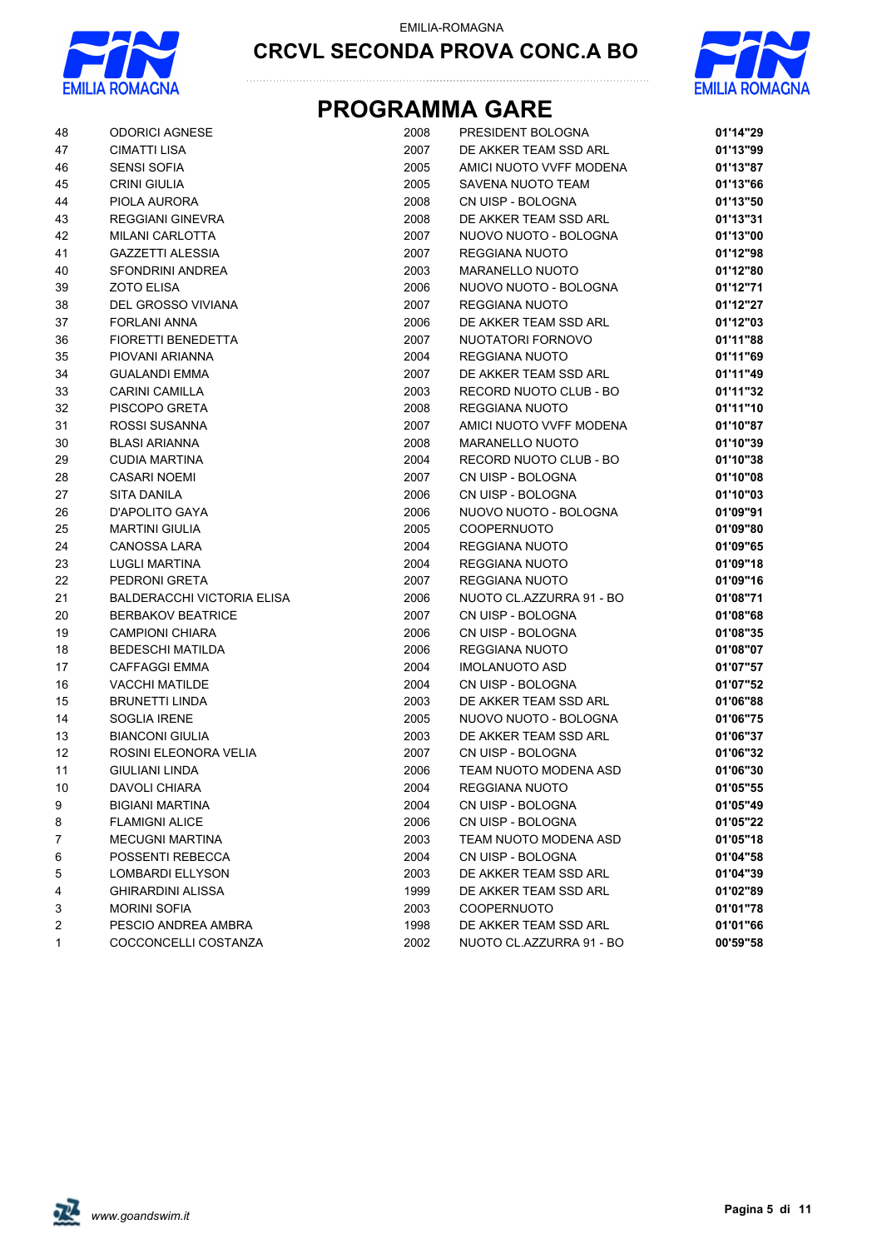



| 48             | <b>ODORICI AGNESE</b>             | 2008 | PRESIDENT BOLOGNA        | 01'14"29 |
|----------------|-----------------------------------|------|--------------------------|----------|
| 47             | <b>CIMATTI LISA</b>               | 2007 | DE AKKER TEAM SSD ARL    | 01'13"99 |
| 46             | <b>SENSI SOFIA</b>                | 2005 | AMICI NUOTO VVFF MODENA  | 01'13"87 |
| 45             | <b>CRINI GIULIA</b>               | 2005 | SAVENA NUOTO TEAM        | 01'13"66 |
| 44             | PIOLA AURORA                      | 2008 | CN UISP - BOLOGNA        | 01'13"50 |
| 43             | <b>REGGIANI GINEVRA</b>           | 2008 | DE AKKER TEAM SSD ARL    | 01'13"31 |
| 42             | <b>MILANI CARLOTTA</b>            | 2007 | NUOVO NUOTO - BOLOGNA    | 01'13"00 |
| 41             | <b>GAZZETTI ALESSIA</b>           | 2007 | REGGIANA NUOTO           | 01'12"98 |
| 40             | SFONDRINI ANDREA                  | 2003 | <b>MARANELLO NUOTO</b>   | 01'12"80 |
| 39             | <b>ZOTO ELISA</b>                 | 2006 | NUOVO NUOTO - BOLOGNA    | 01'12"71 |
| 38             | DEL GROSSO VIVIANA                | 2007 | REGGIANA NUOTO           | 01'12"27 |
| 37             | <b>FORLANI ANNA</b>               | 2006 | DE AKKER TEAM SSD ARL    | 01'12"03 |
| 36             | <b>FIORETTI BENEDETTA</b>         | 2007 | NUOTATORI FORNOVO        | 01'11"88 |
| 35             | PIOVANI ARIANNA                   | 2004 | REGGIANA NUOTO           | 01'11"69 |
| 34             | <b>GUALANDI EMMA</b>              | 2007 | DE AKKER TEAM SSD ARL    | 01'11"49 |
| 33             | <b>CARINI CAMILLA</b>             | 2003 | RECORD NUOTO CLUB - BO   | 01'11"32 |
| 32             | PISCOPO GRETA                     | 2008 | <b>REGGIANA NUOTO</b>    | 01'11"10 |
| 31             | ROSSI SUSANNA                     | 2007 | AMICI NUOTO VVFF MODENA  | 01'10"87 |
| 30             | <b>BLASI ARIANNA</b>              | 2008 | <b>MARANELLO NUOTO</b>   | 01'10"39 |
| 29             | <b>CUDIA MARTINA</b>              | 2004 | RECORD NUOTO CLUB - BO   | 01'10"38 |
| 28             | <b>CASARI NOEMI</b>               | 2007 | CN UISP - BOLOGNA        | 01'10"08 |
| 27             | SITA DANILA                       | 2006 | CN UISP - BOLOGNA        | 01'10"03 |
| 26             | D'APOLITO GAYA                    | 2006 | NUOVO NUOTO - BOLOGNA    | 01'09"91 |
| 25             | <b>MARTINI GIULIA</b>             | 2005 | <b>COOPERNUOTO</b>       | 01'09"80 |
| 24             | <b>CANOSSA LARA</b>               | 2004 | REGGIANA NUOTO           | 01'09"65 |
| 23             | LUGLI MARTINA                     | 2004 | REGGIANA NUOTO           | 01'09"18 |
| 22             | PEDRONI GRETA                     | 2007 | REGGIANA NUOTO           | 01'09"16 |
| 21             | <b>BALDERACCHI VICTORIA ELISA</b> | 2006 | NUOTO CL.AZZURRA 91 - BO | 01'08"71 |
| 20             | <b>BERBAKOV BEATRICE</b>          | 2007 | CN UISP - BOLOGNA        | 01'08"68 |
| 19             | <b>CAMPIONI CHIARA</b>            | 2006 | CN UISP - BOLOGNA        | 01'08"35 |
| 18             | <b>BEDESCHI MATILDA</b>           | 2006 | REGGIANA NUOTO           | 01'08"07 |
| 17             | <b>CAFFAGGI EMMA</b>              | 2004 | <b>IMOLANUOTO ASD</b>    | 01'07"57 |
| 16             | <b>VACCHI MATILDE</b>             | 2004 | CN UISP - BOLOGNA        | 01'07"52 |
| 15             | <b>BRUNETTI LINDA</b>             | 2003 | DE AKKER TEAM SSD ARL    | 01'06"88 |
| 14             | <b>SOGLIA IRENE</b>               | 2005 | NUOVO NUOTO - BOLOGNA    | 01'06"75 |
| 13             | <b>BIANCONI GIULIA</b>            | 2003 | DE AKKER TEAM SSD ARL    | 01'06"37 |
| 12             | ROSINI ELEONORA VELIA             | 2007 | CN UISP - BOLOGNA        | 01'06"32 |
| 11             | <b>GIULIANI LINDA</b>             | 2006 | TEAM NUOTO MODENA ASD    | 01'06"30 |
| 10             | DAVOLI CHIARA                     | 2004 | REGGIANA NUOTO           | 01'05"55 |
| 9              | <b>BIGIANI MARTINA</b>            | 2004 | CN UISP - BOLOGNA        | 01'05"49 |
| 8              | <b>FLAMIGNI ALICE</b>             | 2006 | CN UISP - BOLOGNA        | 01'05"22 |
| 7              | MECUGNI MARTINA                   | 2003 | TEAM NUOTO MODENA ASD    | 01'05"18 |
| 6              | POSSENTI REBECCA                  | 2004 | CN UISP - BOLOGNA        | 01'04"58 |
| 5              | LOMBARDI ELLYSON                  | 2003 | DE AKKER TEAM SSD ARL    | 01'04"39 |
| 4              | <b>GHIRARDINI ALISSA</b>          | 1999 | DE AKKER TEAM SSD ARL    | 01'02"89 |
| 3              | <b>MORINI SOFIA</b>               | 2003 | <b>COOPERNUOTO</b>       | 01'01"78 |
| $\overline{2}$ | PESCIO ANDREA AMBRA               | 1998 | DE AKKER TEAM SSD ARL    | 01'01"66 |
| 1              | COCCONCELLI COSTANZA              | 2002 | NUOTO CL.AZZURRA 91 - BO | 00'59"58 |

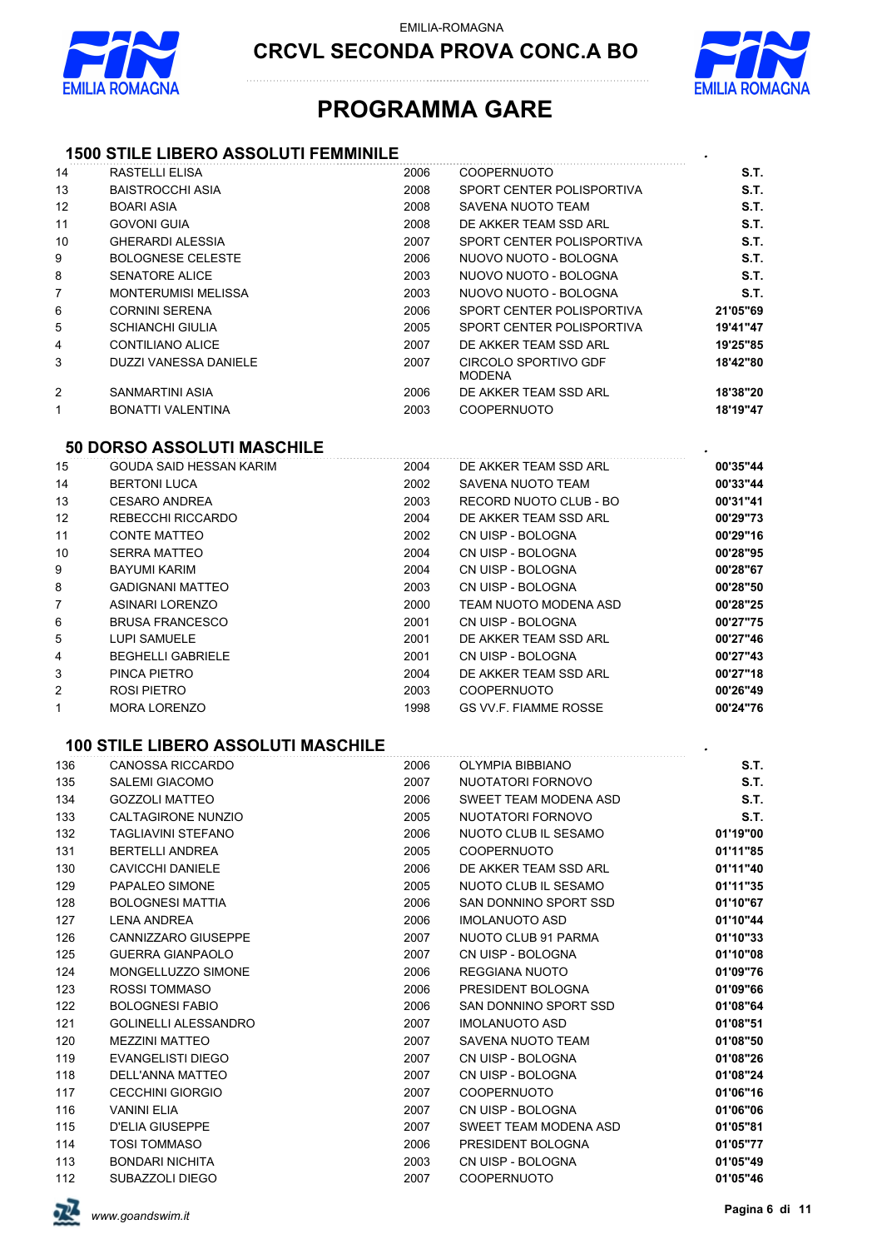



## **PROGRAMMA GARE**

### **1500 STILE LIBERO ASSOLUTI FEMMINILE** *.*

| 14                | RASTELLI ELISA             | 2006 | <b>COOPERNUOTO</b>                    | S.T.     |
|-------------------|----------------------------|------|---------------------------------------|----------|
| 13                | BAISTROCCHI ASIA           | 2008 | SPORT CENTER POLISPORTIVA             | S.T.     |
| $12 \overline{ }$ | <b>BOARI ASIA</b>          | 2008 | SAVENA NUOTO TEAM                     | S.T.     |
| 11                | <b>GOVONI GUIA</b>         | 2008 | DE AKKER TEAM SSD ARL                 | S.T.     |
| 10                | GHERARDI ALESSIA           | 2007 | SPORT CENTER POLISPORTIVA             | S.T.     |
| 9                 | <b>BOLOGNESE CELESTE</b>   | 2006 | NUOVO NUOTO - BOLOGNA                 | S.T.     |
| 8                 | SENATORE ALICE             | 2003 | NUOVO NUOTO - BOLOGNA                 | S.T.     |
| $\overline{7}$    | <b>MONTERUMISI MELISSA</b> | 2003 | NUOVO NUOTO - BOLOGNA                 | S.T.     |
| 6                 | <b>CORNINI SERENA</b>      | 2006 | SPORT CENTER POLISPORTIVA             | 21'05"69 |
| 5                 | <b>SCHIANCHI GIULIA</b>    | 2005 | SPORT CENTER POLISPORTIVA             | 19'41"47 |
| 4                 | <b>CONTILIANO ALICE</b>    | 2007 | DE AKKER TEAM SSD ARL                 | 19'25"85 |
| 3                 | DUZZI VANESSA DANIELE      | 2007 | CIRCOLO SPORTIVO GDF<br><b>MODENA</b> | 18'42"80 |
| 2                 | SANMARTINI ASIA            | 2006 | DE AKKER TEAM SSD ARL                 | 18'38"20 |
| 1                 | BONATTI VALENTINA          | 2003 | <b>COOPERNUOTO</b>                    | 18'19"47 |
|                   |                            |      |                                       |          |

## **50 DORSO ASSOLUTI MASCHILE** *.*

| 15             | GOUDA SAID HESSAN KARIM  | 2004 | DE AKKER TEAM SSD ARL        | 00'35"44 |
|----------------|--------------------------|------|------------------------------|----------|
| 14             | <b>BERTONI LUCA</b>      | 2002 | SAVENA NUOTO TEAM            | 00'33"44 |
| 13             | <b>CESARO ANDREA</b>     | 2003 | RECORD NUOTO CLUB - BO       | 00'31"41 |
| 12             | REBECCHI RICCARDO        | 2004 | DE AKKER TEAM SSD ARL        | 00'29"73 |
| 11             | <b>CONTE MATTEO</b>      | 2002 | CN UISP - BOLOGNA            | 00'29"16 |
| 10             | SERRA MATTEO             | 2004 | CN UISP - BOLOGNA            | 00'28"95 |
| 9              | <b>BAYUMI KARIM</b>      | 2004 | CN UISP - BOLOGNA            | 00'28"67 |
| 8              | GADIGNANI MATTEO         | 2003 | CN UISP - BOLOGNA            | 00'28"50 |
| $\overline{7}$ | ASINARI LORENZO          | 2000 | TEAM NUOTO MODENA ASD        | 00'28"25 |
| 6              | <b>BRUSA FRANCESCO</b>   | 2001 | CN UISP - BOLOGNA            | 00'27"75 |
| 5              | LUPI SAMUELE             | 2001 | DE AKKER TEAM SSD ARL        | 00'27"46 |
| 4              | <b>BEGHELLI GABRIELE</b> | 2001 | CN UISP - BOLOGNA            | 00'27"43 |
| 3              | PINCA PIETRO             | 2004 | DE AKKER TEAM SSD ARL        | 00'27"18 |
| $\overline{2}$ | ROSI PIETRO              | 2003 | <b>COOPERNUOTO</b>           | 00'26"49 |
| 1              | <b>MORA LORENZO</b>      | 1998 | <b>GS VV.F. FIAMME ROSSE</b> | 00'24"76 |

#### **100 STILE LIBERO ASSOLUTI MASCHILE** *.*

| 136 | CANOSSA RICCARDO            | 2006 | OLYMPIA BIBBIANO      | S.T.     |
|-----|-----------------------------|------|-----------------------|----------|
| 135 | <b>SALEMI GIACOMO</b>       | 2007 | NUOTATORI FORNOVO     | S.T.     |
| 134 | <b>GOZZOLI MATTEO</b>       | 2006 | SWEET TEAM MODENA ASD | S.T.     |
| 133 | <b>CALTAGIRONE NUNZIO</b>   | 2005 | NUOTATORI FORNOVO     | S.T.     |
| 132 | <b>TAGLIAVINI STEFANO</b>   | 2006 | NUOTO CLUB IL SESAMO  | 01'19"00 |
| 131 | <b>BERTELLI ANDREA</b>      | 2005 | COOPERNUOTO           | 01'11"85 |
| 130 | <b>CAVICCHI DANIELE</b>     | 2006 | DE AKKER TEAM SSD ARL | 01'11"40 |
| 129 | PAPALEO SIMONE              | 2005 | NUOTO CLUB IL SESAMO  | 01'11"35 |
| 128 | <b>BOLOGNESI MATTIA</b>     | 2006 | SAN DONNINO SPORT SSD | 01'10"67 |
| 127 | LENA ANDREA                 | 2006 | IMOLANUOTO ASD        | 01'10"44 |
| 126 | <b>CANNIZZARO GIUSEPPE</b>  | 2007 | NUOTO CLUB 91 PARMA   | 01'10"33 |
| 125 | <b>GUERRA GIANPAOLO</b>     | 2007 | CN UISP - BOLOGNA     | 01'10"08 |
| 124 | MONGELLUZZO SIMONE          | 2006 | REGGIANA NUOTO        | 01'09"76 |
| 123 | ROSSI TOMMASO               | 2006 | PRESIDENT BOLOGNA     | 01'09"66 |
| 122 | <b>BOLOGNESI FABIO</b>      | 2006 | SAN DONNINO SPORT SSD | 01'08"64 |
| 121 | <b>GOLINELLI ALESSANDRO</b> | 2007 | IMOLANUOTO ASD        | 01'08"51 |
| 120 | <b>MEZZINI MATTEO</b>       | 2007 | SAVENA NUOTO TEAM     | 01'08"50 |
| 119 | EVANGELISTI DIEGO           | 2007 | CN UISP - BOLOGNA     | 01'08"26 |
| 118 | DELL'ANNA MATTEO            | 2007 | CN UISP - BOLOGNA     | 01'08"24 |
| 117 | <b>CECCHINI GIORGIO</b>     | 2007 | <b>COOPERNUOTO</b>    | 01'06"16 |
| 116 | <b>VANINI ELIA</b>          | 2007 | CN UISP - BOLOGNA     | 01'06"06 |
| 115 | <b>D'ELIA GIUSEPPE</b>      | 2007 | SWEET TEAM MODENA ASD | 01'05"81 |
| 114 | <b>TOSI TOMMASO</b>         | 2006 | PRESIDENT BOLOGNA     | 01'05"77 |
| 113 | <b>BONDARI NICHITA</b>      | 2003 | CN UISP - BOLOGNA     | 01'05"49 |
| 112 | SUBAZZOLI DIEGO             | 2007 | <b>COOPERNUOTO</b>    | 01'05"46 |

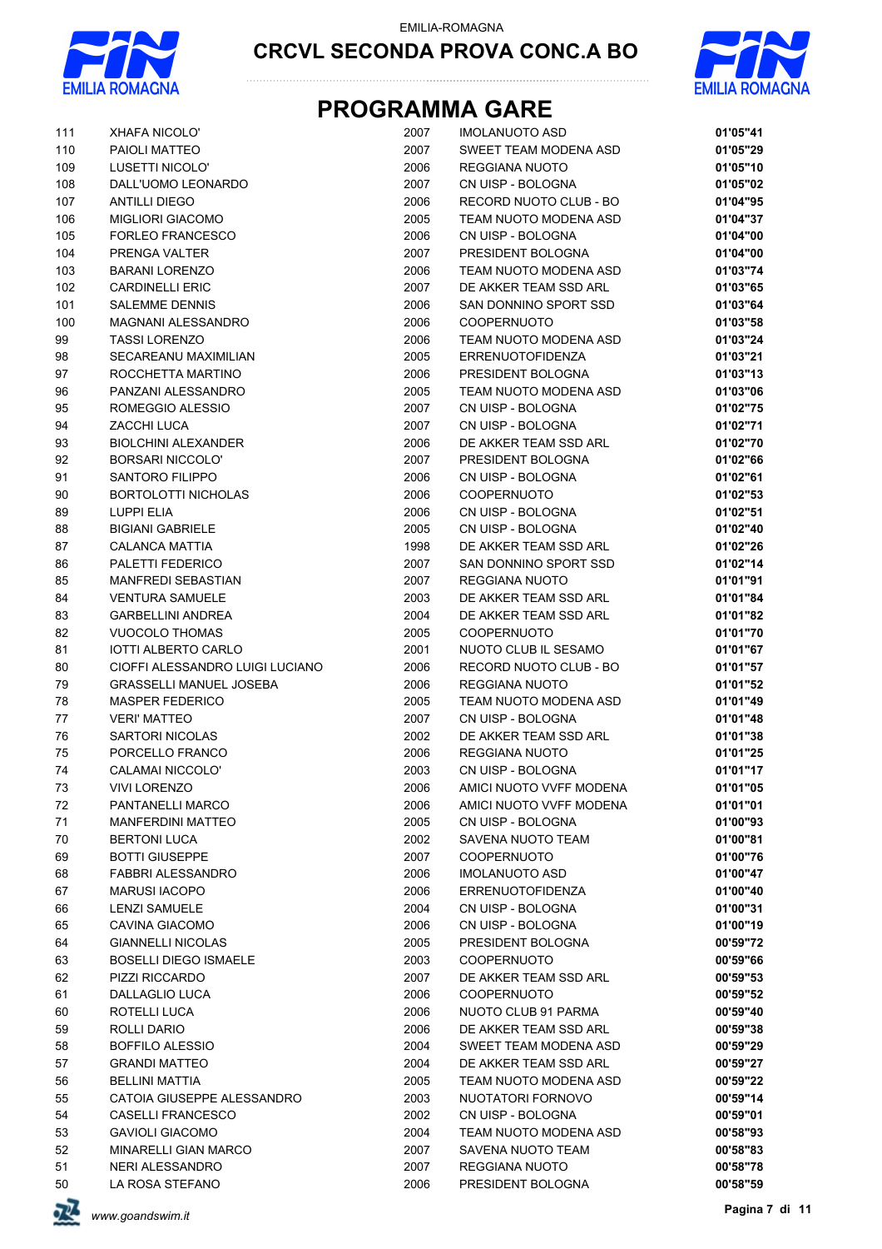



| 111      | <b>XHAFA NICOLO'</b>               | 2007         | <b>IMOLANUOTO ASD</b>               | 01'05"41             |
|----------|------------------------------------|--------------|-------------------------------------|----------------------|
| 110      | PAIOLI MATTEO                      | 2007         | SWEET TEAM MODENA ASD               | 01'05"29             |
| 109      | LUSETTI NICOLO'                    | 2006         | REGGIANA NUOTO                      | 01'05"10             |
| 108      | DALL'UOMO LEONARDO                 | 2007         | CN UISP - BOLOGNA                   | 01'05"02             |
| 107      | <b>ANTILLI DIEGO</b>               | 2006         | RECORD NUOTO CLUB - BO              | 01'04"95             |
| 106      | <b>MIGLIORI GIACOMO</b>            | 2005         | TEAM NUOTO MODENA ASD               | 01'04"37             |
| 105      | <b>FORLEO FRANCESCO</b>            | 2006         | CN UISP - BOLOGNA                   | 01'04"00             |
| 104      | PRENGA VALTER                      | 2007         | PRESIDENT BOLOGNA                   | 01'04"00             |
| 103      | <b>BARANI LORENZO</b>              | 2006         | TEAM NUOTO MODENA ASD               | 01'03"74             |
| 102      | <b>CARDINELLI ERIC</b>             | 2007         | DE AKKER TEAM SSD ARL               | 01'03"65             |
| 101      | <b>SALEMME DENNIS</b>              | 2006         | SAN DONNINO SPORT SSD               | 01'03"64             |
| 100      | <b>MAGNANI ALESSANDRO</b>          | 2006         | <b>COOPERNUOTO</b>                  | 01'03"58             |
| 99       | <b>TASSI LORENZO</b>               | 2006         | TEAM NUOTO MODENA ASD               | 01'03"24             |
| 98       | SECAREANU MAXIMILIAN               | 2005         | <b>ERRENUOTOFIDENZA</b>             | 01'03"21             |
| 97       | ROCCHETTA MARTINO                  | 2006         | PRESIDENT BOLOGNA                   | 01'03"13             |
| 96       | PANZANI ALESSANDRO                 | 2005         | TEAM NUOTO MODENA ASD               | 01'03"06             |
| 95       | ROMEGGIO ALESSIO                   | 2007         | CN UISP - BOLOGNA                   | 01'02"75             |
| 94       | ZACCHI LUCA                        | 2007         | CN UISP - BOLOGNA                   | 01'02"71             |
| 93       | <b>BIOLCHINI ALEXANDER</b>         | 2006         | DE AKKER TEAM SSD ARL               | 01'02"70             |
| 92       | <b>BORSARI NICCOLO'</b>            | 2007         | PRESIDENT BOLOGNA                   | 01'02"66             |
| 91       | SANTORO FILIPPO                    | 2006         | CN UISP - BOLOGNA                   | 01'02"61             |
| 90       | <b>BORTOLOTTI NICHOLAS</b>         | 2006         | <b>COOPERNUOTO</b>                  | 01'02"53             |
| 89       | LUPPI ELIA                         | 2006         | CN UISP - BOLOGNA                   | 01'02"51             |
| 88       | <b>BIGIANI GABRIELE</b>            | 2005         | CN UISP - BOLOGNA                   | 01'02"40             |
| 87       | CALANCA MATTIA                     | 1998         | DE AKKER TEAM SSD ARL               | 01'02"26             |
| 86       | PALETTI FEDERICO                   | 2007         | SAN DONNINO SPORT SSD               | 01'02"14             |
| 85       | <b>MANFREDI SEBASTIAN</b>          | 2007         | REGGIANA NUOTO                      | 01'01"91             |
| 84       | <b>VENTURA SAMUELE</b>             | 2003         | DE AKKER TEAM SSD ARL               | 01'01"84             |
| 83       | <b>GARBELLINI ANDREA</b>           | 2004         | DE AKKER TEAM SSD ARL               | 01'01"82             |
| 82       | <b>VUOCOLO THOMAS</b>              | 2005         | <b>COOPERNUOTO</b>                  | 01'01"70             |
| 81       | <b>IOTTI ALBERTO CARLO</b>         | 2001         | NUOTO CLUB IL SESAMO                | 01'01"67             |
| 80       | CIOFFI ALESSANDRO LUIGI LUCIANO    | 2006         | RECORD NUOTO CLUB - BO              | 01'01"57             |
| 79       | <b>GRASSELLI MANUEL JOSEBA</b>     | 2006         | REGGIANA NUOTO                      | 01'01"52             |
| 78       | <b>MASPER FEDERICO</b>             | 2005         | TEAM NUOTO MODENA ASD               | 01'01"49             |
| 77       | <b>VERI' MATTEO</b>                | 2007         | CN UISP - BOLOGNA                   | 01'01"48             |
| 76       | <b>SARTORI NICOLAS</b>             | 2002         | DE AKKER TEAM SSD ARL               | 01'01"38             |
| 75       | PORCELLO FRANCO                    | 2006         | <b>REGGIANA NUOTO</b>               | 01'01"25             |
| 74       | <b>CALAMAI NICCOLO'</b>            | 2003         | CN UISP - BOLOGNA                   | 01'01"17             |
| 73       | <b>VIVI LORENZO</b>                | 2006         | AMICI NUOTO VVFF MODENA             | 01'01"05             |
| 72       | PANTANELLI MARCO                   | 2006         | AMICI NUOTO VVFF MODENA             | 01'01"01             |
| 71       | <b>MANFERDINI MATTEO</b>           | 2005         | CN UISP - BOLOGNA                   | 01'00"93             |
| 70       | <b>BERTONI LUCA</b>                | 2002         | SAVENA NUOTO TEAM                   | 01'00"81             |
| 69       | <b>BOTTI GIUSEPPE</b>              | 2007         | <b>COOPERNUOTO</b>                  | 01'00"76             |
| 68       | FABBRI ALESSANDRO                  | 2006         | <b>IMOLANUOTO ASD</b>               | 01'00"47             |
| 67       | <b>MARUSI IACOPO</b>               | 2006         | <b>ERRENUOTOFIDENZA</b>             | 01'00"40             |
| 66       | LENZI SAMUELE                      | 2004         | CN UISP - BOLOGNA                   | 01'00"31             |
| 65       | CAVINA GIACOMO                     | 2006         | CN UISP - BOLOGNA                   | 01'00"19             |
| 64       | <b>GIANNELLI NICOLAS</b>           | 2005         | PRESIDENT BOLOGNA                   | 00'59"72             |
| 63       | <b>BOSELLI DIEGO ISMAELE</b>       | 2003         | <b>COOPERNUOTO</b>                  | 00'59"66             |
| 62       | PIZZI RICCARDO                     | 2007         | DE AKKER TEAM SSD ARL               | 00'59"53             |
| 61       | DALLAGLIO LUCA                     | 2006         | <b>COOPERNUOTO</b>                  | 00'59"52             |
| 60       | ROTELLI LUCA                       | 2006         | NUOTO CLUB 91 PARMA                 | 00'59"40             |
| 59       | ROLLI DARIO                        | 2006         | DE AKKER TEAM SSD ARL               | 00'59"38             |
| 58       | <b>BOFFILO ALESSIO</b>             | 2004         | SWEET TEAM MODENA ASD               | 00'59"29             |
| 57       | <b>GRANDI MATTEO</b>               | 2004         | DE AKKER TEAM SSD ARL               | 00'59"27             |
| 56       | <b>BELLINI MATTIA</b>              | 2005         | TEAM NUOTO MODENA ASD               | 00'59"22             |
| 55       | CATOIA GIUSEPPE ALESSANDRO         | 2003         | NUOTATORI FORNOVO                   | 00'59"14             |
| 54       | CASELLI FRANCESCO                  | 2002         | CN UISP - BOLOGNA                   | 00'59"01             |
| 53       | <b>GAVIOLI GIACOMO</b>             | 2004         | TEAM NUOTO MODENA ASD               | 00'58"93             |
| 52       | MINARELLI GIAN MARCO               | 2007         | SAVENA NUOTO TEAM                   | 00'58"83             |
| 51<br>50 | NERI ALESSANDRO<br>LA ROSA STEFANO | 2007<br>2006 | REGGIANA NUOTO<br>PRESIDENT BOLOGNA | 00'58"78<br>00'58"59 |
|          |                                    |              |                                     |                      |

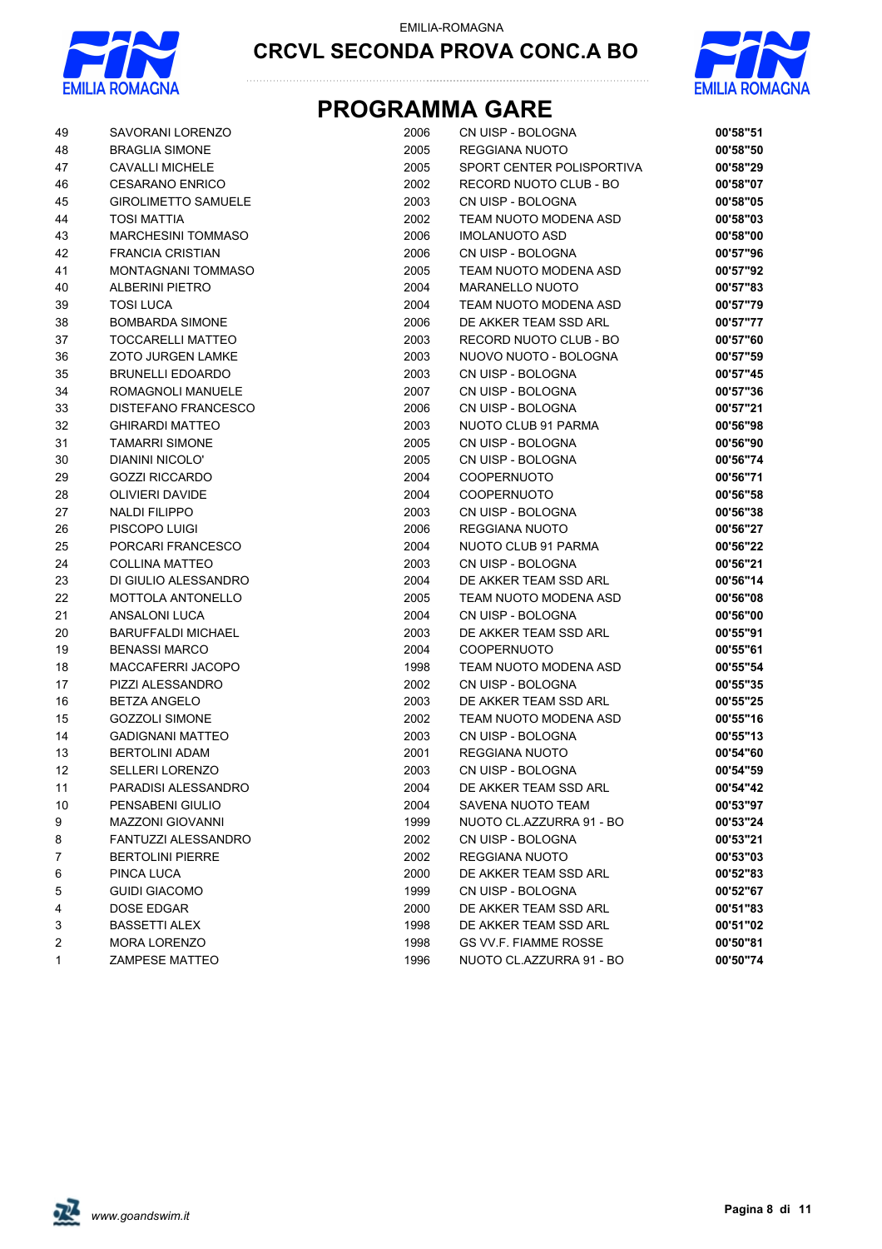



| 49 | SAVORANI LORENZO           | 2006 | CN UISP - BOLOGNA            | 00'58"51 |
|----|----------------------------|------|------------------------------|----------|
| 48 | <b>BRAGLIA SIMONE</b>      | 2005 | REGGIANA NUOTO               | 00'58"50 |
| 47 | <b>CAVALLI MICHELE</b>     | 2005 | SPORT CENTER POLISPORTIVA    | 00'58"29 |
| 46 | <b>CESARANO ENRICO</b>     | 2002 | RECORD NUOTO CLUB - BO       | 00'58"07 |
| 45 | <b>GIROLIMETTO SAMUELE</b> | 2003 | CN UISP - BOLOGNA            | 00'58"05 |
| 44 | <b>TOSI MATTIA</b>         | 2002 | TEAM NUOTO MODENA ASD        | 00'58"03 |
| 43 | <b>MARCHESINI TOMMASO</b>  | 2006 | <b>IMOLANUOTO ASD</b>        | 00'58"00 |
| 42 | <b>FRANCIA CRISTIAN</b>    | 2006 | CN UISP - BOLOGNA            | 00'57"96 |
| 41 | <b>MONTAGNANI TOMMASO</b>  | 2005 | TEAM NUOTO MODENA ASD        | 00'57"92 |
| 40 | <b>ALBERINI PIETRO</b>     | 2004 | <b>MARANELLO NUOTO</b>       | 00'57"83 |
| 39 | <b>TOSI LUCA</b>           | 2004 | TEAM NUOTO MODENA ASD        | 00'57"79 |
| 38 | <b>BOMBARDA SIMONE</b>     | 2006 | DE AKKER TEAM SSD ARL        | 00'57"77 |
| 37 | TOCCARELLI MATTEO          | 2003 | RECORD NUOTO CLUB - BO       | 00'57"60 |
| 36 | <b>ZOTO JURGEN LAMKE</b>   | 2003 | NUOVO NUOTO - BOLOGNA        | 00'57"59 |
| 35 | <b>BRUNELLI EDOARDO</b>    | 2003 | CN UISP - BOLOGNA            | 00'57"45 |
| 34 | ROMAGNOLI MANUELE          | 2007 | CN UISP - BOLOGNA            | 00'57"36 |
| 33 | DISTEFANO FRANCESCO        | 2006 | CN UISP - BOLOGNA            | 00'57"21 |
| 32 | <b>GHIRARDI MATTEO</b>     | 2003 | NUOTO CLUB 91 PARMA          | 00'56"98 |
| 31 | <b>TAMARRI SIMONE</b>      | 2005 | CN UISP - BOLOGNA            | 00'56"90 |
| 30 | <b>DIANINI NICOLO'</b>     | 2005 | CN UISP - BOLOGNA            | 00'56"74 |
| 29 | <b>GOZZI RICCARDO</b>      | 2004 | <b>COOPERNUOTO</b>           | 00'56"71 |
| 28 | <b>OLIVIERI DAVIDE</b>     | 2004 | <b>COOPERNUOTO</b>           | 00'56"58 |
| 27 | <b>NALDI FILIPPO</b>       | 2003 | CN UISP - BOLOGNA            | 00'56"38 |
| 26 | PISCOPO LUIGI              | 2006 | REGGIANA NUOTO               | 00'56"27 |
| 25 | PORCARI FRANCESCO          | 2004 | NUOTO CLUB 91 PARMA          | 00'56"22 |
| 24 | COLLINA MATTEO             | 2003 | CN UISP - BOLOGNA            | 00'56"21 |
| 23 | DI GIULIO ALESSANDRO       | 2004 | DE AKKER TEAM SSD ARL        | 00'56"14 |
| 22 | <b>MOTTOLA ANTONELLO</b>   | 2005 | TEAM NUOTO MODENA ASD        | 00'56"08 |
| 21 | ANSALONI LUCA              | 2004 | CN UISP - BOLOGNA            | 00'56"00 |
| 20 | <b>BARUFFALDI MICHAEL</b>  | 2003 | DE AKKER TEAM SSD ARL        | 00'55"91 |
| 19 | <b>BENASSI MARCO</b>       | 2004 | <b>COOPERNUOTO</b>           | 00'55"61 |
| 18 | MACCAFERRI JACOPO          | 1998 | TEAM NUOTO MODENA ASD        | 00'55"54 |
| 17 | PIZZI ALESSANDRO           | 2002 | CN UISP - BOLOGNA            | 00'55"35 |
| 16 | <b>BETZA ANGELO</b>        | 2003 | DE AKKER TEAM SSD ARL        | 00'55"25 |
| 15 | <b>GOZZOLI SIMONE</b>      | 2002 | TEAM NUOTO MODENA ASD        | 00'55"16 |
| 14 | <b>GADIGNANI MATTEO</b>    | 2003 | CN UISP - BOLOGNA            | 00'55"13 |
| 13 | <b>BERTOLINI ADAM</b>      | 2001 | REGGIANA NUOTO               | 00'54"60 |
| 12 | <b>SELLERI LORENZO</b>     | 2003 | CN UISP - BOLOGNA            | 00'54"59 |
| 11 | PARADISI ALESSANDRO        | 2004 | DE AKKER TEAM SSD ARL        | 00'54"42 |
| 10 | PENSABENI GIULIO           | 2004 | SAVENA NUOTO TEAM            | 00'53"97 |
| 9  | <b>MAZZONI GIOVANNI</b>    | 1999 | NUOTO CL.AZZURRA 91 - BO     | 00'53"24 |
| 8  | FANTUZZI ALESSANDRO        | 2002 | CN UISP - BOLOGNA            | 00'53"21 |
| 7  | <b>BERTOLINI PIERRE</b>    | 2002 | REGGIANA NUOTO               | 00'53"03 |
| 6  | PINCA LUCA                 | 2000 | DE AKKER TEAM SSD ARL        | 00'52"83 |
| 5  | <b>GUIDI GIACOMO</b>       | 1999 | CN UISP - BOLOGNA            | 00'52"67 |
| 4  | DOSE EDGAR                 | 2000 | DE AKKER TEAM SSD ARL        | 00'51"83 |
| 3  | <b>BASSETTI ALEX</b>       | 1998 | DE AKKER TEAM SSD ARL        | 00'51"02 |
| 2  | <b>MORA LORENZO</b>        | 1998 | <b>GS VV F. FIAMME ROSSE</b> | 00'50"81 |
| 1  | <b>ZAMPESE MATTEO</b>      | 1996 | NUOTO CL.AZZURRA 91 - BO     | 00'50"74 |

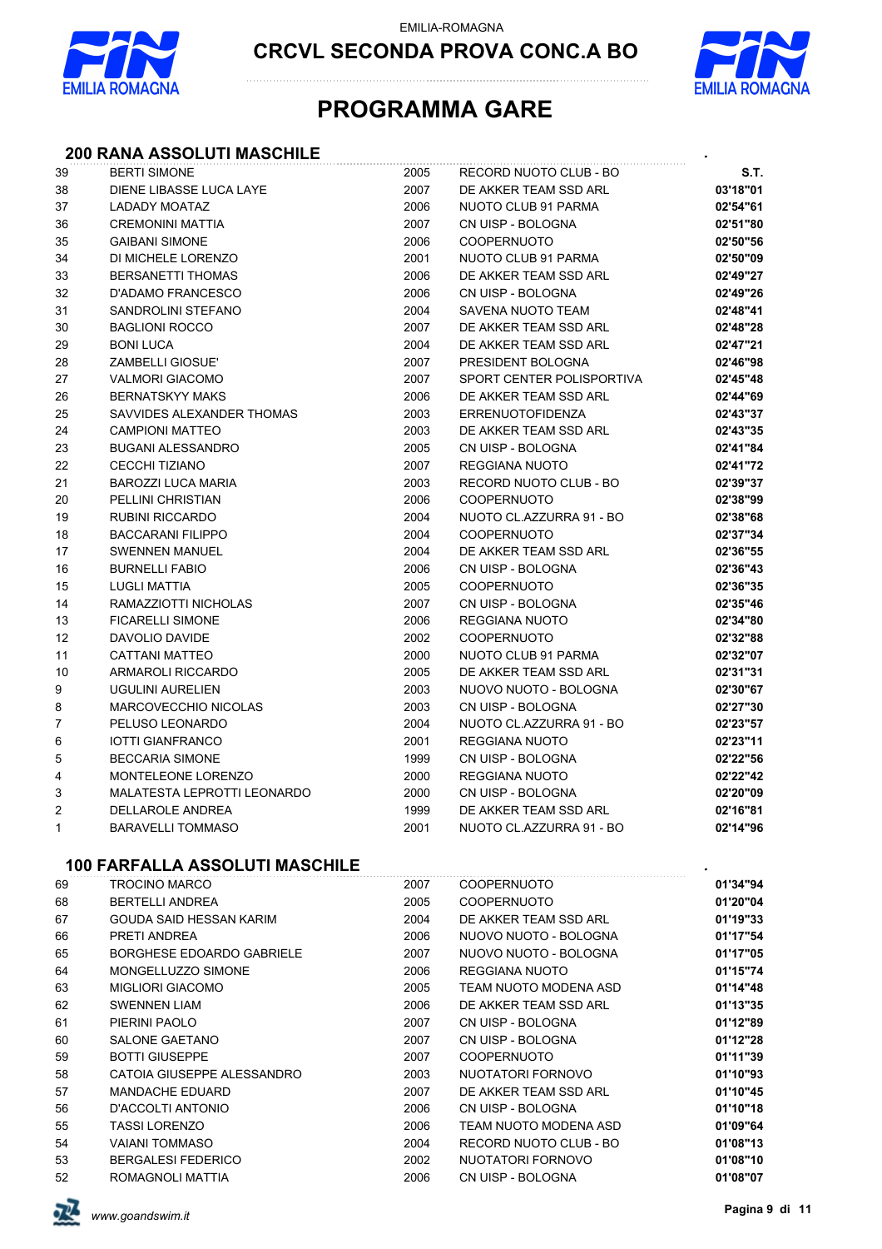

EMILIA-ROMAGNA

**CRCVL SECONDA PROVA CONC.A BO**



## **PROGRAMMA GARE**

#### **200 RANA ASSOLUTI MASCHILE** *.*

| 39           | <b>BERTI SIMONE</b>                   | 2005 | RECORD NUOTO CLUB - BO    | S.T.     |
|--------------|---------------------------------------|------|---------------------------|----------|
| 38           | DIENE LIBASSE LUCA LAYE               | 2007 | DE AKKER TEAM SSD ARL     | 03'18"01 |
| 37           | <b>LADADY MOATAZ</b>                  | 2006 | NUOTO CLUB 91 PARMA       | 02'54"61 |
| 36           | <b>CREMONINI MATTIA</b>               | 2007 | CN UISP - BOLOGNA         | 02'51"80 |
| 35           | <b>GAIBANI SIMONE</b>                 | 2006 | <b>COOPERNUOTO</b>        | 02'50"56 |
| 34           | DI MICHELE LORENZO                    | 2001 | NUOTO CLUB 91 PARMA       | 02'50"09 |
| 33           | <b>BERSANETTI THOMAS</b>              | 2006 | DE AKKER TEAM SSD ARL     | 02'49"27 |
| 32           | D'ADAMO FRANCESCO                     | 2006 | CN UISP - BOLOGNA         | 02'49"26 |
| 31           | SANDROLINI STEFANO                    | 2004 | SAVENA NUOTO TEAM         | 02'48"41 |
| $30\,$       | <b>BAGLIONI ROCCO</b>                 | 2007 | DE AKKER TEAM SSD ARL     | 02'48"28 |
| 29           | <b>BONI LUCA</b>                      | 2004 | DE AKKER TEAM SSD ARL     | 02'47"21 |
| 28           | <b>ZAMBELLI GIOSUE'</b>               | 2007 | PRESIDENT BOLOGNA         | 02'46"98 |
| 27           | <b>VALMORI GIACOMO</b>                | 2007 | SPORT CENTER POLISPORTIVA | 02'45"48 |
| 26           | <b>BERNATSKYY MAKS</b>                | 2006 | DE AKKER TEAM SSD ARL     | 02'44"69 |
| 25           | SAVVIDES ALEXANDER THOMAS             | 2003 | <b>ERRENUOTOFIDENZA</b>   | 02'43"37 |
| 24           | <b>CAMPIONI MATTEO</b>                | 2003 | DE AKKER TEAM SSD ARL     | 02'43"35 |
| 23           | <b>BUGANI ALESSANDRO</b>              | 2005 | CN UISP - BOLOGNA         | 02'41"84 |
| 22           | <b>CECCHI TIZIANO</b>                 | 2007 | REGGIANA NUOTO            | 02'41"72 |
| 21           | BAROZZI LUCA MARIA                    | 2003 | RECORD NUOTO CLUB - BO    | 02'39"37 |
| 20           | PELLINI CHRISTIAN                     | 2006 | <b>COOPERNUOTO</b>        | 02'38"99 |
| 19           | <b>RUBINI RICCARDO</b>                | 2004 | NUOTO CL.AZZURRA 91 - BO  | 02'38"68 |
| 18           | <b>BACCARANI FILIPPO</b>              | 2004 | <b>COOPERNUOTO</b>        | 02'37"34 |
| 17           | <b>SWENNEN MANUEL</b>                 | 2004 | DE AKKER TEAM SSD ARL     | 02'36"55 |
| 16           | <b>BURNELLI FABIO</b>                 | 2006 | CN UISP - BOLOGNA         | 02'36"43 |
| 15           | <b>LUGLI MATTIA</b>                   | 2005 | <b>COOPERNUOTO</b>        | 02'36"35 |
| 14           | RAMAZZIOTTI NICHOLAS                  | 2007 | CN UISP - BOLOGNA         | 02'35"46 |
| 13           | <b>FICARELLI SIMONE</b>               | 2006 | REGGIANA NUOTO            | 02'34"80 |
| 12           | DAVOLIO DAVIDE                        | 2002 | <b>COOPERNUOTO</b>        | 02'32"88 |
| 11           | CATTANI MATTEO                        | 2000 | NUOTO CLUB 91 PARMA       | 02'32"07 |
| 10           | ARMAROLI RICCARDO                     | 2005 | DE AKKER TEAM SSD ARL     | 02'31"31 |
| 9            | <b>UGULINI AURELIEN</b>               | 2003 | NUOVO NUOTO - BOLOGNA     | 02'30"67 |
| 8            | MARCOVECCHIO NICOLAS                  | 2003 | CN UISP - BOLOGNA         | 02'27"30 |
| 7            | PELUSO LEONARDO                       | 2004 | NUOTO CL.AZZURRA 91 - BO  | 02'23"57 |
| 6            | <b>IOTTI GIANFRANCO</b>               | 2001 | REGGIANA NUOTO            | 02'23"11 |
| 5            | <b>BECCARIA SIMONE</b>                | 1999 | CN UISP - BOLOGNA         | 02'22"56 |
| 4            | MONTELEONE LORENZO                    | 2000 | REGGIANA NUOTO            | 02'22"42 |
| 3            | <b>MALATESTA LEPROTTI LEONARDO</b>    | 2000 | CN UISP - BOLOGNA         | 02'20"09 |
| 2            | DELLAROLE ANDREA                      | 1999 | DE AKKER TEAM SSD ARL     | 02'16"81 |
| $\mathbf{1}$ | <b>BARAVELLI TOMMASO</b>              | 2001 | NUOTO CL.AZZURRA 91 - BO  | 02'14"96 |
|              | <b>100 FARFALLA ASSOLUTI MASCHILE</b> |      |                           |          |
| 69           | <b>TROCINO MARCO</b>                  | 2007 | <b>COOPERNUOTO</b>        | 01'34"94 |
| 68           | BERTELLI ANDREA                       | 2005 | <b>COOPERNUOTO</b>        | 01'20"04 |
| 67           | GOUDA SAID HESSAN KARIM               | 2004 | DE AKKER TEAM SSD ARL     | 01'19"33 |
| 66           | PRETI ANDREA                          | 2006 | NUOVO NUOTO - BOLOGNA     | 01'17"54 |
| 65           | BORGHESE EDOARDO GABRIELE             | 2007 | NUOVO NUOTO - BOLOGNA     | 01'17"05 |
| 64           | MONGELLUZZO SIMONE                    | 2006 | <b>REGGIANA NUOTO</b>     | 01'15"74 |
| 63           | <b>MIGLIORI GIACOMO</b>               | 2005 | TEAM NUOTO MODENA ASD     | 01'14"48 |
| 62           | <b>SWENNEN LIAM</b>                   | 2006 | DE AKKER TEAM SSD ARL     | 01'13"35 |
| 61           | PIERINI PAOLO                         | 2007 | CN UISP - BOLOGNA         | 01'12"89 |
| 60           | <b>SALONE GAETANO</b>                 | 2007 | CN UISP - BOLOGNA         | 01'12"28 |
| 59           | <b>BOTTI GIUSEPPE</b>                 | 2007 | <b>COOPERNUOTO</b>        | 01'11"39 |
| 58           | CATOIA GIUSEPPE ALESSANDRO            | 2003 | NUOTATORI FORNOVO         | 01'10"93 |
| 57           | <b>MANDACHE EDUARD</b>                | 2007 | DE AKKER TEAM SSD ARL     | 01'10"45 |
| 56           | D'ACCOLTI ANTONIO                     | 2006 | CN UISP - BOLOGNA         | 01'10"18 |
| 55           | <b>TASSI LORENZO</b>                  | 2006 | TEAM NUOTO MODENA ASD     | 01'09"64 |
| 54           | <b>VAIANI TOMMASO</b>                 | 2004 | RECORD NUOTO CLUB - BO    | 01'08"13 |
| 53           | <b>BERGALESI FEDERICO</b>             | 2002 | NUOTATORI FORNOVO         | 01'08"10 |
| 52           | ROMAGNOLI MATTIA                      | 2006 | CN UISP - BOLOGNA         | 01'08"07 |

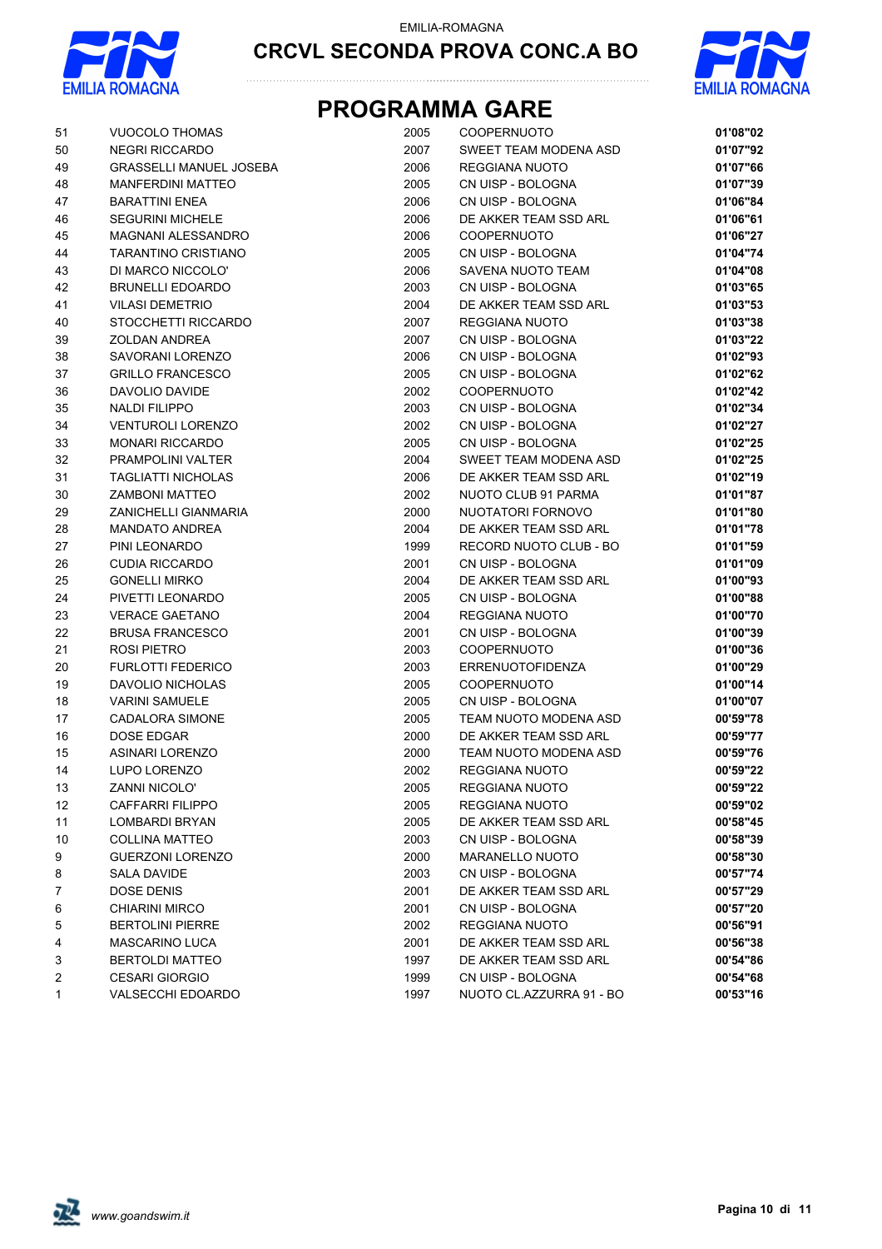



| 51             | <b>VUOCOLO THOMAS</b>                            | 2005 | <b>COOPERNUOTO</b>       | 01'08"02 |
|----------------|--------------------------------------------------|------|--------------------------|----------|
| 50             | <b>NEGRI RICCARDO</b>                            | 2007 | SWEET TEAM MODENA ASD    | 01'07"92 |
| 49             | <b>GRASSELLI MANUEL JOSEBA</b>                   | 2006 | REGGIANA NUOTO           | 01'07"66 |
| 48             | <b>MANFERDINI MATTEO</b>                         | 2005 | CN UISP - BOLOGNA        | 01'07"39 |
| 47             | <b>BARATTINI ENEA</b>                            | 2006 | CN UISP - BOLOGNA        | 01'06"84 |
| 46             | <b>SEGURINI MICHELE</b>                          | 2006 | DE AKKER TEAM SSD ARL    | 01'06"61 |
| 45             | MAGNANI ALESSANDRO                               | 2006 | <b>COOPERNUOTO</b>       | 01'06"27 |
| 44             | TARANTINO CRISTIANO                              | 2005 | CN UISP - BOLOGNA        | 01'04"74 |
| 43             | DI MARCO NICCOLO'                                | 2006 | SAVENA NUOTO TEAM        | 01'04"08 |
| 42             | <b>BRUNELLI EDOARDO</b>                          | 2003 | CN UISP - BOLOGNA        | 01'03"65 |
| 41             | <b>VILASI DEMETRIO</b>                           | 2004 | DE AKKER TEAM SSD ARL    | 01'03"53 |
| 40             | STOCCHETTI RICCARDO                              | 2007 | REGGIANA NUOTO           | 01'03"38 |
| 39             | <b>ZOLDAN ANDREA</b>                             | 2007 | CN UISP - BOLOGNA        | 01'03"22 |
| 38             | SAVORANI LORENZO                                 | 2006 | CN UISP - BOLOGNA        | 01'02"93 |
| 37             | <b>GRILLO FRANCESCO</b>                          | 2005 | CN UISP - BOLOGNA        | 01'02"62 |
| 36             | DAVOLIO DAVIDE                                   | 2002 | <b>COOPERNUOTO</b>       | 01'02"42 |
| 35             | <b>NALDI FILIPPO</b>                             | 2003 | CN UISP - BOLOGNA        | 01'02"34 |
| 34             | <b>VENTUROLI LORENZO</b>                         | 2002 | CN UISP - BOLOGNA        | 01'02"27 |
| 33             | <b>MONARI RICCARDO</b>                           | 2005 | CN UISP - BOLOGNA        | 01'02"25 |
| 32             | PRAMPOLINI VALTER                                | 2004 | SWEET TEAM MODENA ASD    | 01'02"25 |
| 31             | <b>TAGLIATTI NICHOLAS</b>                        | 2006 | DE AKKER TEAM SSD ARL    | 01'02"19 |
| 30             | <b>ZAMBONI MATTEO</b>                            | 2002 | NUOTO CLUB 91 PARMA      | 01'01"87 |
| 29             | ZANICHELLI GIANMARIA                             | 2000 | NUOTATORI FORNOVO        | 01'01"80 |
| 28             | <b>MANDATO ANDREA</b>                            | 2004 | DE AKKER TEAM SSD ARL    | 01'01"78 |
| 27             | PINI LEONARDO                                    | 1999 | RECORD NUOTO CLUB - BO   | 01'01"59 |
| 26             | <b>CUDIA RICCARDO</b>                            | 2001 | CN UISP - BOLOGNA        | 01'01"09 |
| 25             | <b>GONELLI MIRKO</b>                             | 2004 | DE AKKER TEAM SSD ARL    | 01'00"93 |
| 24             | PIVETTI LEONARDO                                 | 2005 | CN UISP - BOLOGNA        | 01'00"88 |
| 23             | <b>VERACE GAETANO</b>                            | 2004 | REGGIANA NUOTO           | 01'00"70 |
| 22             | <b>BRUSA FRANCESCO</b>                           | 2001 | CN UISP - BOLOGNA        | 01'00"39 |
| 21             | ROSI PIETRO                                      | 2003 | <b>COOPERNUOTO</b>       | 01'00"36 |
| 20             | <b>FURLOTTI FEDERICO</b>                         | 2003 | <b>ERRENUOTOFIDENZA</b>  | 01'00"29 |
| 19             | DAVOLIO NICHOLAS                                 | 2005 | <b>COOPERNUOTO</b>       | 01'00"14 |
| 18             | <b>VARINI SAMUELE</b>                            | 2005 | CN UISP - BOLOGNA        | 01'00"07 |
| 17             | <b>CADALORA SIMONE</b>                           | 2005 | TEAM NUOTO MODENA ASD    | 00'59"78 |
| 16             | DOSE EDGAR                                       | 2000 | DE AKKER TEAM SSD ARL    | 00'59"77 |
| 15             | <b>ASINARI LORENZO</b>                           | 2000 | TEAM NUOTO MODENA ASD    | 00'59"76 |
| 14             | LUPO LORENZO                                     | 2002 | <b>REGGIANA NUOTO</b>    | 00'59"22 |
| 13             | <b>ZANNI NICOLO'</b>                             | 2005 | <b>REGGIANA NUOTO</b>    | 00'59"22 |
| 12             | CAFFARRI FILIPPO                                 | 2005 | REGGIANA NUOTO           | 00'59"02 |
| 11             | <b>LOMBARDI BRYAN</b>                            | 2005 | DE AKKER TEAM SSD ARL    | 00'58"45 |
| 10             | COLLINA MATTEO                                   | 2003 | CN UISP - BOLOGNA        | 00'58"39 |
| 9              | <b>GUERZONI LORENZO</b>                          | 2000 | MARANELLO NUOTO          | 00'58"30 |
| 8              | SALA DAVIDE                                      | 2003 | CN UISP - BOLOGNA        | 00'57"74 |
| $\overline{7}$ | DOSE DENIS                                       | 2001 | DE AKKER TEAM SSD ARL    | 00'57"29 |
| 6              | <b>CHIARINI MIRCO</b>                            | 2001 | CN UISP - BOLOGNA        | 00'57"20 |
|                |                                                  |      |                          |          |
| 5              | <b>BERTOLINI PIERRE</b><br><b>MASCARINO LUCA</b> | 2002 | REGGIANA NUOTO           | 00'56"91 |
| 4              | <b>BERTOLDI MATTEO</b>                           | 2001 | DE AKKER TEAM SSD ARL    | 00'56"38 |
| 3              |                                                  | 1997 | DE AKKER TEAM SSD ARL    | 00'54"86 |
| 2              | <b>CESARI GIORGIO</b>                            | 1999 | CN UISP - BOLOGNA        | 00'54"68 |
| 1              | VALSECCHI EDOARDO                                | 1997 | NUOTO CL.AZZURRA 91 - BO | 00'53"16 |